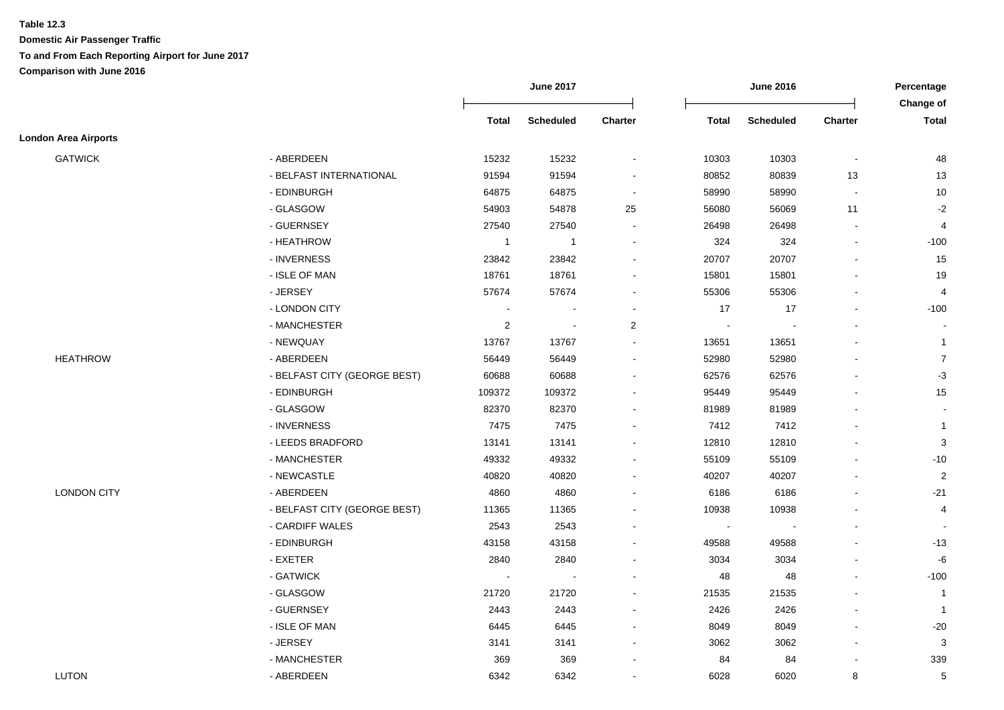|                             |                              |                | <b>June 2017</b> |                          | <b>June 2016</b>         |                  |                          | Percentage<br>Change of |
|-----------------------------|------------------------------|----------------|------------------|--------------------------|--------------------------|------------------|--------------------------|-------------------------|
|                             |                              | <b>Total</b>   | <b>Scheduled</b> | Charter                  | <b>Total</b>             | <b>Scheduled</b> | Charter                  | <b>Total</b>            |
| <b>London Area Airports</b> |                              |                |                  |                          |                          |                  |                          |                         |
| <b>GATWICK</b>              | - ABERDEEN                   | 15232          | 15232            | $\overline{a}$           | 10303                    | 10303            | $\blacksquare$           | 48                      |
|                             | - BELFAST INTERNATIONAL      | 91594          | 91594            | $\overline{a}$           | 80852                    | 80839            | 13                       | 13                      |
|                             | - EDINBURGH                  | 64875          | 64875            | $\overline{\phantom{a}}$ | 58990                    | 58990            | $\sim$                   | 10                      |
|                             | - GLASGOW                    | 54903          | 54878            | 25                       | 56080                    | 56069            | 11                       | $-2$                    |
|                             | - GUERNSEY                   | 27540          | 27540            | $\blacksquare$           | 26498                    | 26498            | $\blacksquare$           | $\overline{4}$          |
|                             | - HEATHROW                   | $\mathbf{1}$   | $\overline{1}$   | $\overline{\phantom{a}}$ | 324                      | 324              | $\blacksquare$           | $-100$                  |
|                             | - INVERNESS                  | 23842          | 23842            | $\overline{\phantom{a}}$ | 20707                    | 20707            |                          | 15                      |
|                             | - ISLE OF MAN                | 18761          | 18761            | $\overline{a}$           | 15801                    | 15801            |                          | 19                      |
|                             | - JERSEY                     | 57674          | 57674            | $\blacksquare$           | 55306                    | 55306            |                          | $\overline{4}$          |
|                             | - LONDON CITY                | $\overline{a}$ |                  | $\overline{a}$           | 17                       | 17               | $\overline{\phantom{a}}$ | $-100$                  |
|                             | - MANCHESTER                 | $\overline{c}$ |                  | $\overline{2}$           |                          |                  |                          |                         |
|                             | - NEWQUAY                    | 13767          | 13767            |                          | 13651                    | 13651            |                          | $\mathbf{1}$            |
| <b>HEATHROW</b>             | - ABERDEEN                   | 56449          | 56449            | $\blacksquare$           | 52980                    | 52980            |                          | $\overline{7}$          |
|                             | - BELFAST CITY (GEORGE BEST) | 60688          | 60688            | $\blacksquare$           | 62576                    | 62576            |                          | $-3$                    |
|                             | - EDINBURGH                  | 109372         | 109372           | $\blacksquare$           | 95449                    | 95449            |                          | 15                      |
|                             | - GLASGOW                    | 82370          | 82370            | $\blacksquare$           | 81989                    | 81989            |                          | $\sim$                  |
|                             | - INVERNESS                  | 7475           | 7475             | $\overline{\phantom{a}}$ | 7412                     | 7412             |                          | $\overline{1}$          |
|                             | - LEEDS BRADFORD             | 13141          | 13141            | $\overline{\phantom{a}}$ | 12810                    | 12810            |                          | 3                       |
|                             | - MANCHESTER                 | 49332          | 49332            | $\overline{\phantom{a}}$ | 55109                    | 55109            |                          | $-10$                   |
|                             | - NEWCASTLE                  | 40820          | 40820            |                          | 40207                    | 40207            |                          | $\overline{c}$          |
| <b>LONDON CITY</b>          | - ABERDEEN                   | 4860           | 4860             |                          | 6186                     | 6186             |                          | $-21$                   |
|                             | - BELFAST CITY (GEORGE BEST) | 11365          | 11365            |                          | 10938                    | 10938            |                          | 4                       |
|                             | - CARDIFF WALES              | 2543           | 2543             |                          | $\overline{\phantom{a}}$ |                  |                          |                         |
|                             | - EDINBURGH                  | 43158          | 43158            |                          | 49588                    | 49588            |                          | $-13$                   |
|                             | - EXETER                     | 2840           | 2840             | $\overline{\phantom{a}}$ | 3034                     | 3034             |                          | $-6$                    |
|                             | - GATWICK                    |                |                  |                          | 48                       | 48               |                          | $-100$                  |
|                             | - GLASGOW                    | 21720          | 21720            | $\blacksquare$           | 21535                    | 21535            |                          | $\overline{1}$          |
|                             | - GUERNSEY                   | 2443           | 2443             |                          | 2426                     | 2426             |                          | $\overline{1}$          |
|                             | - ISLE OF MAN                | 6445           | 6445             | $\overline{\phantom{a}}$ | 8049                     | 8049             |                          | $-20$                   |
|                             | - JERSEY                     | 3141           | 3141             | $\blacksquare$           | 3062                     | 3062             | $\overline{\phantom{a}}$ | $\mathbf{3}$            |
|                             | - MANCHESTER                 | 369            | 369              | $\blacksquare$           | 84                       | 84               |                          | 339                     |
| <b>LUTON</b>                | - ABERDEEN                   | 6342           | 6342             |                          | 6028                     | 6020             | 8                        | $\sqrt{5}$              |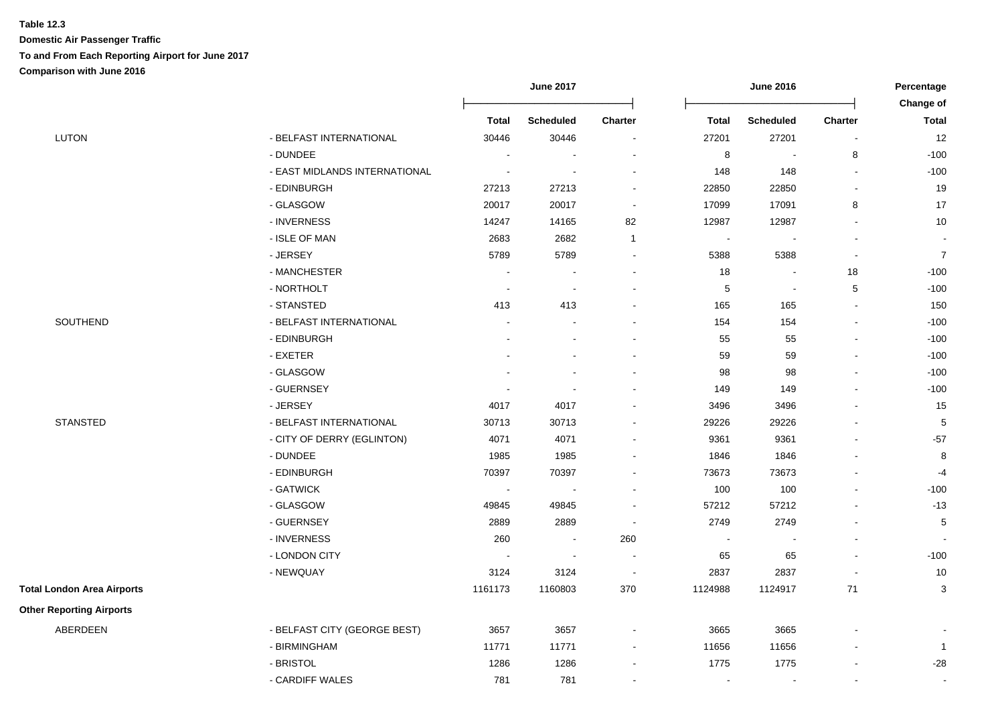|                                   |                               | <b>June 2017</b> |                          | <b>June 2016</b>         |                          |                  | Percentage<br>Change of  |                           |
|-----------------------------------|-------------------------------|------------------|--------------------------|--------------------------|--------------------------|------------------|--------------------------|---------------------------|
|                                   |                               | <b>Total</b>     | <b>Scheduled</b>         | Charter                  | <b>Total</b>             | <b>Scheduled</b> | <b>Charter</b>           | <b>Total</b>              |
| LUTON                             | - BELFAST INTERNATIONAL       | 30446            | 30446                    | $\sim$                   | 27201                    | 27201            | $\overline{\phantom{a}}$ | 12                        |
|                                   | - DUNDEE                      | $\sim$           |                          |                          | $\bf 8$                  | $\blacksquare$   | 8                        | $-100$                    |
|                                   | - EAST MIDLANDS INTERNATIONAL | $\sim$           | $\overline{\phantom{a}}$ |                          | 148                      | 148              | $\sim$                   | $-100$                    |
|                                   | - EDINBURGH                   | 27213            | 27213                    | $\overline{\phantom{a}}$ | 22850                    | 22850            | $\blacksquare$           | 19                        |
|                                   | - GLASGOW                     | 20017            | 20017                    | $\sim$                   | 17099                    | 17091            | 8                        | 17                        |
|                                   | - INVERNESS                   | 14247            | 14165                    | 82                       | 12987                    | 12987            |                          | 10                        |
|                                   | - ISLE OF MAN                 | 2683             | 2682                     | $\overline{1}$           | $\blacksquare$           |                  |                          | $\blacksquare$            |
|                                   | - JERSEY                      | 5789             | 5789                     |                          | 5388                     | 5388             |                          | $\overline{7}$            |
|                                   | - MANCHESTER                  |                  |                          |                          | 18                       | $\blacksquare$   | $18\,$                   | $-100$                    |
|                                   | - NORTHOLT                    | $\blacksquare$   | $\overline{\phantom{a}}$ |                          | 5                        | $\blacksquare$   | 5                        | $-100$                    |
|                                   | - STANSTED                    | 413              | 413                      |                          | 165                      | 165              | $\sim$                   | 150                       |
| SOUTHEND                          | - BELFAST INTERNATIONAL       |                  |                          |                          | 154                      | 154              |                          | $-100$                    |
|                                   | - EDINBURGH                   |                  |                          |                          | 55                       | 55               |                          | $-100$                    |
|                                   | - EXETER                      |                  |                          |                          | 59                       | 59               |                          | $-100$                    |
|                                   | - GLASGOW                     |                  |                          |                          | 98                       | 98               |                          | $-100$                    |
|                                   | - GUERNSEY                    | $\blacksquare$   | $\overline{\phantom{a}}$ |                          | 149                      | 149              |                          | $-100$                    |
|                                   | - JERSEY                      | 4017             | 4017                     |                          | 3496                     | 3496             |                          | 15                        |
| <b>STANSTED</b>                   | - BELFAST INTERNATIONAL       | 30713            | 30713                    |                          | 29226                    | 29226            | $\sim$                   | 5                         |
|                                   | - CITY OF DERRY (EGLINTON)    | 4071             | 4071                     |                          | 9361                     | 9361             |                          | $-57$                     |
|                                   | - DUNDEE                      | 1985             | 1985                     |                          | 1846                     | 1846             |                          | 8                         |
|                                   | - EDINBURGH                   | 70397            | 70397                    |                          | 73673                    | 73673            |                          | $-4$                      |
|                                   | - GATWICK                     | $\sim$           |                          |                          | 100                      | 100              |                          | $-100$                    |
|                                   | - GLASGOW                     | 49845            | 49845                    |                          | 57212                    | 57212            |                          | $-13$                     |
|                                   | - GUERNSEY                    | 2889             | 2889                     | $\sim$                   | 2749                     | 2749             |                          | 5                         |
|                                   | - INVERNESS                   | 260              | $\sim$                   | 260                      | $\overline{\phantom{a}}$ |                  |                          |                           |
|                                   | - LONDON CITY                 | $\sim$           | $\overline{\phantom{a}}$ | $\sim$                   | 65                       | 65               |                          | $-100$                    |
|                                   | - NEWQUAY                     | 3124             | 3124                     | $\sim$                   | 2837                     | 2837             |                          | 10                        |
| <b>Total London Area Airports</b> |                               | 1161173          | 1160803                  | 370                      | 1124988                  | 1124917          | $71$                     | $\ensuremath{\mathsf{3}}$ |
| <b>Other Reporting Airports</b>   |                               |                  |                          |                          |                          |                  |                          |                           |
| ABERDEEN                          | - BELFAST CITY (GEORGE BEST)  | 3657             | 3657                     |                          | 3665                     | 3665             |                          |                           |
|                                   | - BIRMINGHAM                  | 11771            | 11771                    | $\sim$                   | 11656                    | 11656            |                          | $\overline{1}$            |
|                                   | - BRISTOL                     | 1286             | 1286                     |                          | 1775                     | 1775             |                          | $-28$                     |
|                                   | - CARDIFF WALES               | 781              | 781                      |                          | $\overline{\phantom{a}}$ | $\blacksquare$   |                          | $\blacksquare$            |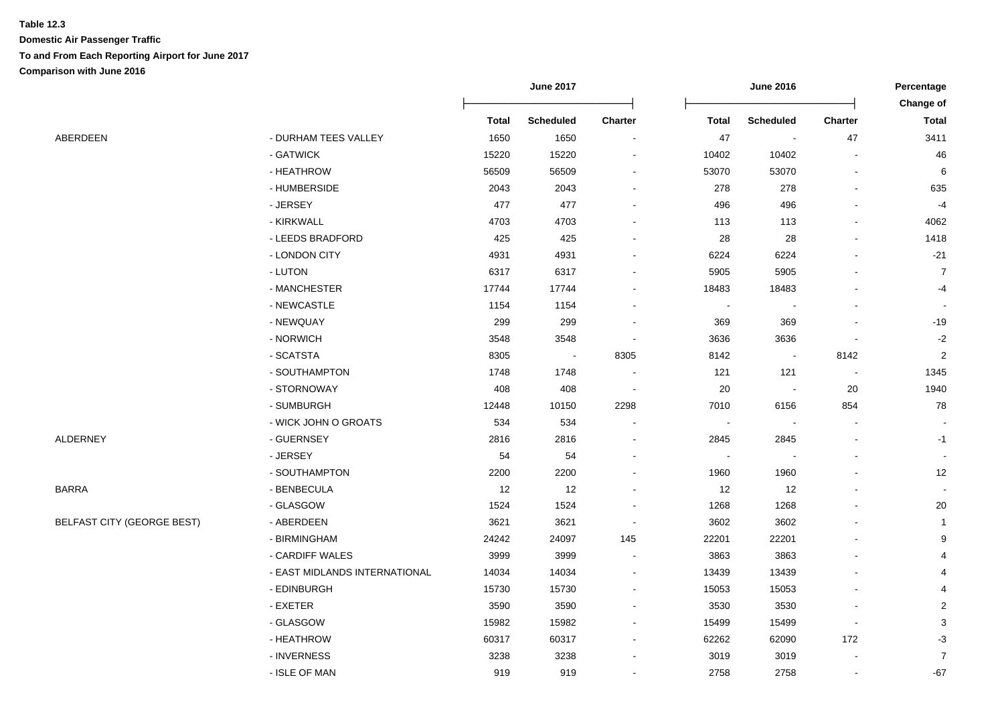|                                   |                               | <b>June 2017</b> |                          |                          | Percentage<br>Change of |                          |                          |                |
|-----------------------------------|-------------------------------|------------------|--------------------------|--------------------------|-------------------------|--------------------------|--------------------------|----------------|
|                                   |                               | <b>Total</b>     | <b>Scheduled</b>         | <b>Charter</b>           | <b>Total</b>            | <b>Scheduled</b>         | <b>Charter</b>           | <b>Total</b>   |
| ABERDEEN                          | - DURHAM TEES VALLEY          | 1650             | 1650                     | $\overline{\phantom{a}}$ | 47                      | $\overline{\phantom{a}}$ | 47                       | 3411           |
|                                   | - GATWICK                     | 15220            | 15220                    | $\blacksquare$           | 10402                   | 10402                    | $\overline{a}$           | 46             |
|                                   | - HEATHROW                    | 56509            | 56509                    |                          | 53070                   | 53070                    | $\blacksquare$           | 6              |
|                                   | - HUMBERSIDE                  | 2043             | 2043                     |                          | 278                     | 278                      |                          | 635            |
|                                   | - JERSEY                      | 477              | 477                      |                          | 496                     | 496                      |                          | $-4$           |
|                                   | - KIRKWALL                    | 4703             | 4703                     |                          | 113                     | 113                      |                          | 4062           |
|                                   | - LEEDS BRADFORD              | 425              | 425                      |                          | 28                      | 28                       |                          | 1418           |
|                                   | - LONDON CITY                 | 4931             | 4931                     |                          | 6224                    | 6224                     |                          | $-21$          |
|                                   | - LUTON                       | 6317             | 6317                     |                          | 5905                    | 5905                     |                          | $\overline{7}$ |
|                                   | - MANCHESTER                  | 17744            | 17744                    |                          | 18483                   | 18483                    |                          | $-4$           |
|                                   | - NEWCASTLE                   | 1154             | 1154                     |                          | $\blacksquare$          | $\overline{\phantom{a}}$ |                          |                |
|                                   | - NEWQUAY                     | 299              | 299                      |                          | 369                     | 369                      |                          | $-19$          |
|                                   | - NORWICH                     | 3548             | 3548                     |                          | 3636                    | 3636                     |                          | $-2$           |
|                                   | - SCATSTA                     | 8305             | $\overline{\phantom{a}}$ | 8305                     | 8142                    | $\sim$                   | 8142                     | $\overline{c}$ |
|                                   | - SOUTHAMPTON                 | 1748             | 1748                     |                          | 121                     | 121                      | $\overline{\phantom{a}}$ | 1345           |
|                                   | - STORNOWAY                   | 408              | 408                      | $\overline{\phantom{a}}$ | 20                      | $\blacksquare$           | 20                       | 1940           |
|                                   | - SUMBURGH                    | 12448            | 10150                    | 2298                     | 7010                    | 6156                     | 854                      | 78             |
|                                   | - WICK JOHN O GROATS          | 534              | 534                      |                          | $\blacksquare$          | $\blacksquare$           | $\blacksquare$           |                |
| ALDERNEY                          | - GUERNSEY                    | 2816             | 2816                     |                          | 2845                    | 2845                     |                          | $-1$           |
|                                   | - JERSEY                      | 54               | 54                       |                          | $\blacksquare$          | $\blacksquare$           |                          |                |
|                                   | - SOUTHAMPTON                 | 2200             | 2200                     |                          | 1960                    | 1960                     |                          | 12             |
| BARRA                             | - BENBECULA                   | 12               | 12                       |                          | 12                      | 12                       |                          |                |
|                                   | - GLASGOW                     | 1524             | 1524                     |                          | 1268                    | 1268                     |                          | $20\,$         |
| <b>BELFAST CITY (GEORGE BEST)</b> | - ABERDEEN                    | 3621             | 3621                     |                          | 3602                    | 3602                     |                          | 1              |
|                                   | - BIRMINGHAM                  | 24242            | 24097                    | 145                      | 22201                   | 22201                    |                          | 9              |
|                                   | - CARDIFF WALES               | 3999             | 3999                     | $\sim$                   | 3863                    | 3863                     |                          | 4              |
|                                   | - EAST MIDLANDS INTERNATIONAL | 14034            | 14034                    | $\blacksquare$           | 13439                   | 13439                    |                          | 4              |
|                                   | - EDINBURGH                   | 15730            | 15730                    | $\blacksquare$           | 15053                   | 15053                    |                          | 4              |
|                                   | - EXETER                      | 3590             | 3590                     | $\blacksquare$           | 3530                    | 3530                     |                          | 2              |
|                                   | - GLASGOW                     | 15982            | 15982                    | $\blacksquare$           | 15499                   | 15499                    | $\blacksquare$           | 3              |
|                                   | - HEATHROW                    | 60317            | 60317                    | $\sim$                   | 62262                   | 62090                    | 172                      | $-3$           |
|                                   | - INVERNESS                   | 3238             | 3238                     |                          | 3019                    | 3019                     |                          | $\overline{7}$ |
|                                   | - ISLE OF MAN                 | 919              | 919                      |                          | 2758                    | 2758                     |                          | $-67$          |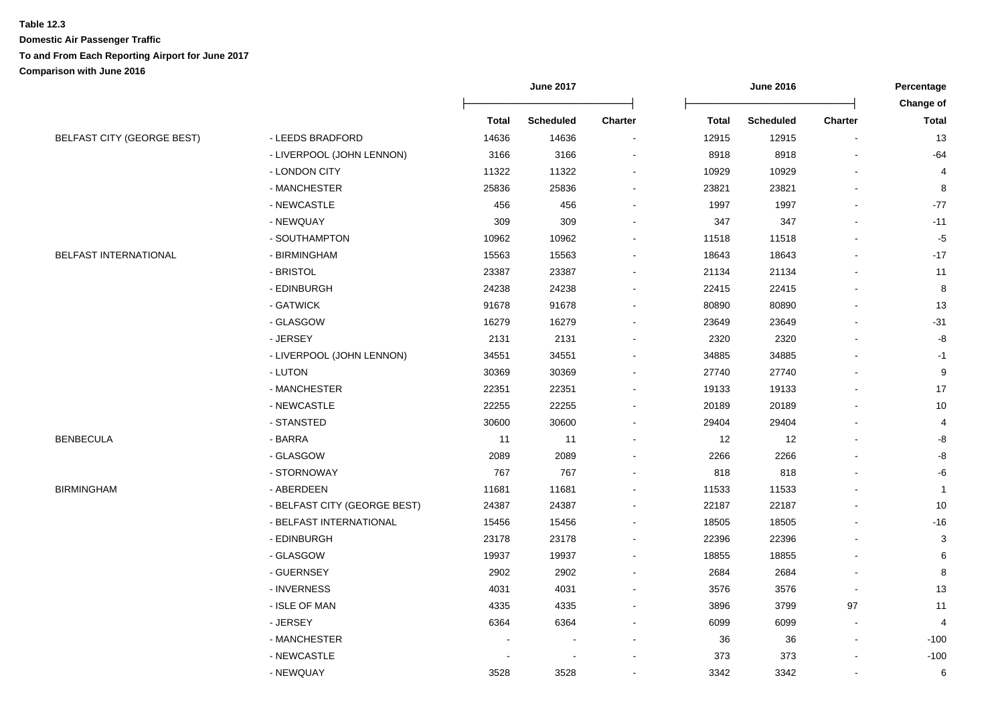|                                   |                              |              | <b>June 2017</b> |         | <b>June 2016</b> |                  |                | Percentage     |  |
|-----------------------------------|------------------------------|--------------|------------------|---------|------------------|------------------|----------------|----------------|--|
|                                   |                              |              |                  |         |                  |                  |                | Change of      |  |
|                                   |                              | <b>Total</b> | <b>Scheduled</b> | Charter | <b>Total</b>     | <b>Scheduled</b> | <b>Charter</b> | <b>Total</b>   |  |
| <b>BELFAST CITY (GEORGE BEST)</b> | - LEEDS BRADFORD             | 14636        | 14636            |         | 12915            | 12915            | $\blacksquare$ | 13             |  |
|                                   | - LIVERPOOL (JOHN LENNON)    | 3166         | 3166             |         | 8918             | 8918             |                | $-64$          |  |
|                                   | - LONDON CITY                | 11322        | 11322            |         | 10929            | 10929            |                | 4              |  |
|                                   | - MANCHESTER                 | 25836        | 25836            |         | 23821            | 23821            |                | 8              |  |
|                                   | - NEWCASTLE                  | 456          | 456              |         | 1997             | 1997             |                | $-77$          |  |
|                                   | - NEWQUAY                    | 309          | 309              |         | 347              | 347              |                | $-11$          |  |
|                                   | - SOUTHAMPTON                | 10962        | 10962            |         | 11518            | 11518            |                | $-5$           |  |
| BELFAST INTERNATIONAL             | - BIRMINGHAM                 | 15563        | 15563            |         | 18643            | 18643            |                | $-17$          |  |
|                                   | - BRISTOL                    | 23387        | 23387            |         | 21134            | 21134            |                | 11             |  |
|                                   | - EDINBURGH                  | 24238        | 24238            |         | 22415            | 22415            |                | 8              |  |
|                                   | - GATWICK                    | 91678        | 91678            |         | 80890            | 80890            |                | 13             |  |
|                                   | - GLASGOW                    | 16279        | 16279            |         | 23649            | 23649            |                | $-31$          |  |
|                                   | - JERSEY                     | 2131         | 2131             |         | 2320             | 2320             |                | -8             |  |
|                                   | - LIVERPOOL (JOHN LENNON)    | 34551        | 34551            |         | 34885            | 34885            |                | -1             |  |
|                                   | - LUTON                      | 30369        | 30369            |         | 27740            | 27740            |                | 9              |  |
|                                   | - MANCHESTER                 | 22351        | 22351            |         | 19133            | 19133            |                | 17             |  |
|                                   | - NEWCASTLE                  | 22255        | 22255            |         | 20189            | 20189            |                | $10$           |  |
|                                   | - STANSTED                   | 30600        | 30600            |         | 29404            | 29404            |                | 4              |  |
| BENBECULA                         | - BARRA                      | 11           | 11               |         | 12               | 12               |                | -8             |  |
|                                   | - GLASGOW                    | 2089         | 2089             |         | 2266             | 2266             |                | -8             |  |
|                                   | - STORNOWAY                  | 767          | 767              |         | 818              | 818              |                | -6             |  |
| BIRMINGHAM                        | - ABERDEEN                   | 11681        | 11681            |         | 11533            | 11533            |                | $\overline{1}$ |  |
|                                   | - BELFAST CITY (GEORGE BEST) | 24387        | 24387            |         | 22187            | 22187            |                | 10             |  |
|                                   | - BELFAST INTERNATIONAL      | 15456        | 15456            |         | 18505            | 18505            |                | $-16$          |  |
|                                   | - EDINBURGH                  | 23178        | 23178            |         | 22396            | 22396            |                | 3              |  |
|                                   | - GLASGOW                    | 19937        | 19937            |         | 18855            | 18855            |                | 6              |  |
|                                   | - GUERNSEY                   | 2902         | 2902             |         | 2684             | 2684             |                | 8              |  |
|                                   | - INVERNESS                  | 4031         | 4031             |         | 3576             | 3576             |                | 13             |  |
|                                   | - ISLE OF MAN                | 4335         | 4335             |         | 3896             | 3799             | 97             | 11             |  |
|                                   | - JERSEY                     | 6364         | 6364             |         | 6099             | 6099             |                | 4              |  |
|                                   | - MANCHESTER                 |              |                  |         | 36               | 36               |                | $-100$         |  |
|                                   | - NEWCASTLE                  |              |                  |         | 373              | 373              |                | $-100$         |  |
|                                   | - NEWQUAY                    | 3528         | 3528             |         | 3342             | 3342             |                | 6              |  |
|                                   |                              |              |                  |         |                  |                  |                |                |  |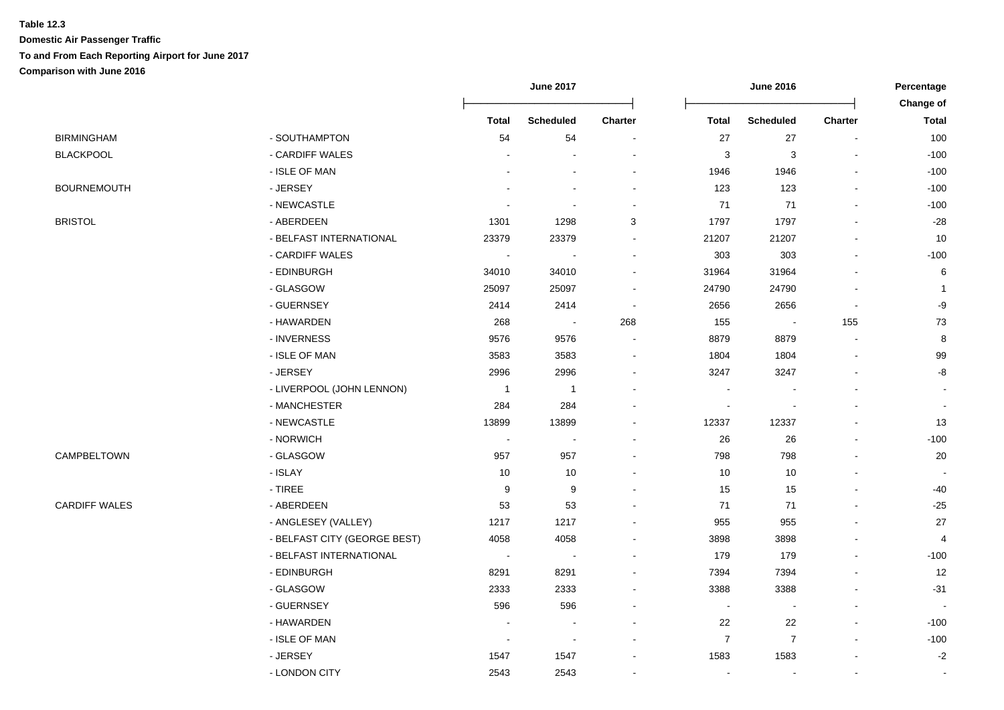|                      |                              |                          | <b>June 2017</b> |         |                  |                          | <b>June 2016</b>         |                           |  |
|----------------------|------------------------------|--------------------------|------------------|---------|------------------|--------------------------|--------------------------|---------------------------|--|
|                      |                              | <b>Total</b>             | <b>Scheduled</b> | Charter | <b>Total</b>     | <b>Scheduled</b>         | Charter                  | Change of<br><b>Total</b> |  |
| BIRMINGHAM           | - SOUTHAMPTON                | 54                       | 54               |         | 27               | 27                       | $\blacksquare$           | 100                       |  |
| <b>BLACKPOOL</b>     | - CARDIFF WALES              |                          |                  |         | 3                | 3                        |                          | $-100$                    |  |
|                      | - ISLE OF MAN                |                          |                  |         | 1946             | 1946                     |                          | $-100$                    |  |
| BOURNEMOUTH          | - JERSEY                     |                          |                  |         | 123              | 123                      |                          | $-100$                    |  |
|                      | - NEWCASTLE                  |                          |                  |         | 71               | $71$                     |                          | $-100$                    |  |
| <b>BRISTOL</b>       | - ABERDEEN                   | 1301                     | 1298             | 3       | 1797             | 1797                     |                          | $-28$                     |  |
|                      | - BELFAST INTERNATIONAL      | 23379                    | 23379            |         | 21207            | 21207                    |                          | 10                        |  |
|                      | - CARDIFF WALES              | $\overline{\phantom{a}}$ |                  |         | 303              | 303                      |                          | $-100$                    |  |
|                      | - EDINBURGH                  | 34010                    | 34010            |         | 31964            | 31964                    |                          | 6                         |  |
|                      | - GLASGOW                    | 25097                    | 25097            |         | 24790            | 24790                    |                          | -1                        |  |
|                      | - GUERNSEY                   | 2414                     | 2414             |         | 2656             | 2656                     | $\overline{\phantom{a}}$ | -9                        |  |
|                      | - HAWARDEN                   | 268                      | $\blacksquare$   | 268     | 155              | $\overline{\phantom{a}}$ | 155                      | 73                        |  |
|                      | - INVERNESS                  | 9576                     | 9576             |         | 8879             | 8879                     | $\blacksquare$           | 8                         |  |
|                      | - ISLE OF MAN                | 3583                     | 3583             |         | 1804             | 1804                     |                          | 99                        |  |
|                      | - JERSEY                     | 2996                     | 2996             |         | 3247             | 3247                     |                          | -8                        |  |
|                      | - LIVERPOOL (JOHN LENNON)    | $\overline{1}$           | $\overline{1}$   |         |                  |                          |                          |                           |  |
|                      | - MANCHESTER                 | 284                      | 284              |         |                  |                          |                          |                           |  |
|                      | - NEWCASTLE                  | 13899                    | 13899            |         | 12337            | 12337                    |                          | 13                        |  |
|                      | - NORWICH                    | $\overline{\phantom{a}}$ |                  |         | 26               | 26                       |                          | $-100$                    |  |
| CAMPBELTOWN          | - GLASGOW                    | 957                      | 957              |         | 798              | 798                      |                          | 20                        |  |
|                      | - ISLAY                      | 10                       | 10               |         | 10               | 10                       |                          |                           |  |
|                      | $-$ TIREE                    | 9                        | 9                |         | 15               | 15                       |                          | -40                       |  |
| <b>CARDIFF WALES</b> | - ABERDEEN                   | 53                       | 53               |         | 71               | 71                       |                          | $-25$                     |  |
|                      | - ANGLESEY (VALLEY)          | 1217                     | 1217             |         | 955              | 955                      |                          | 27                        |  |
|                      | - BELFAST CITY (GEORGE BEST) | 4058                     | 4058             |         | 3898             | 3898                     |                          | 4                         |  |
|                      | - BELFAST INTERNATIONAL      | $\overline{\phantom{a}}$ | $\sim$           |         | 179              | 179                      |                          | $-100$                    |  |
|                      | - EDINBURGH                  | 8291                     | 8291             |         | 7394             | 7394                     |                          | 12                        |  |
|                      | - GLASGOW                    | 2333                     | 2333             |         | 3388             | 3388                     |                          | $-31$                     |  |
|                      | - GUERNSEY                   | 596                      | 596              |         |                  |                          |                          |                           |  |
|                      | - HAWARDEN                   |                          |                  |         | 22               | 22                       |                          | $-100$                    |  |
|                      | - ISLE OF MAN                |                          |                  |         | $\boldsymbol{7}$ | $\boldsymbol{7}$         |                          | $-100$                    |  |
|                      | - JERSEY                     | 1547                     | 1547             |         | 1583             | 1583                     |                          | $-2$                      |  |
|                      | - LONDON CITY                | 2543                     | 2543             |         | $\blacksquare$   |                          |                          |                           |  |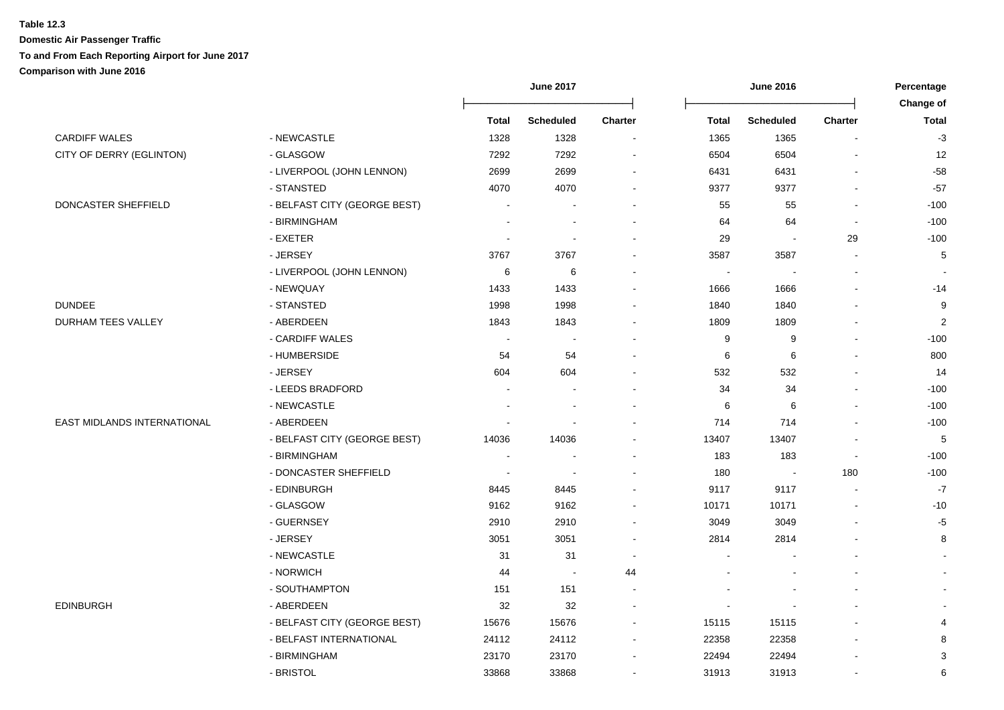|                             |                              |                          | <b>June 2017</b>         |                          |                | <b>June 2016</b>         |                |                           |  |
|-----------------------------|------------------------------|--------------------------|--------------------------|--------------------------|----------------|--------------------------|----------------|---------------------------|--|
|                             |                              | <b>Total</b>             | <b>Scheduled</b>         | <b>Charter</b>           | <b>Total</b>   | <b>Scheduled</b>         | <b>Charter</b> | Change of<br><b>Total</b> |  |
|                             |                              |                          |                          |                          |                |                          |                |                           |  |
| <b>CARDIFF WALES</b>        | - NEWCASTLE                  | 1328                     | 1328                     | $\overline{\phantom{a}}$ | 1365           | 1365                     |                | $-3$                      |  |
| CITY OF DERRY (EGLINTON)    | - GLASGOW                    | 7292                     | 7292                     |                          | 6504           | 6504                     |                | 12                        |  |
|                             | - LIVERPOOL (JOHN LENNON)    | 2699                     | 2699                     | $\overline{a}$           | 6431           | 6431                     |                | $-58$                     |  |
|                             | - STANSTED                   | 4070                     | 4070                     |                          | 9377           | 9377                     |                | $-57$                     |  |
| DONCASTER SHEFFIELD         | - BELFAST CITY (GEORGE BEST) |                          |                          |                          | 55             | 55                       |                | $-100$                    |  |
|                             | - BIRMINGHAM                 |                          |                          |                          | 64             | 64                       |                | $-100$                    |  |
|                             | - EXETER                     |                          |                          |                          | 29             | $\overline{\phantom{a}}$ | 29             | $-100$                    |  |
|                             | - JERSEY                     | 3767                     | 3767                     |                          | 3587           | 3587                     |                | 5                         |  |
|                             | - LIVERPOOL (JOHN LENNON)    | 6                        | $\,6$                    | $\blacksquare$           | $\blacksquare$ |                          |                |                           |  |
|                             | - NEWQUAY                    | 1433                     | 1433                     | $\blacksquare$           | 1666           | 1666                     |                | $-14$                     |  |
| <b>DUNDEE</b>               | - STANSTED                   | 1998                     | 1998                     |                          | 1840           | 1840                     |                | 9                         |  |
| DURHAM TEES VALLEY          | - ABERDEEN                   | 1843                     | 1843                     | $\overline{\phantom{a}}$ | 1809           | 1809                     |                | $\overline{\mathbf{c}}$   |  |
|                             | - CARDIFF WALES              |                          |                          | $\overline{a}$           | 9              | 9                        |                | $-100$                    |  |
|                             | - HUMBERSIDE                 | 54                       | 54                       |                          | 6              | 6                        |                | 800                       |  |
|                             | - JERSEY                     | 604                      | 604                      | $\blacksquare$           | 532            | 532                      |                | 14                        |  |
|                             | - LEEDS BRADFORD             |                          |                          |                          | 34             | 34                       |                | $-100$                    |  |
|                             | - NEWCASTLE                  |                          |                          |                          | 6              | 6                        |                | $-100$                    |  |
| EAST MIDLANDS INTERNATIONAL | - ABERDEEN                   |                          |                          |                          | 714            | 714                      |                | $-100$                    |  |
|                             | - BELFAST CITY (GEORGE BEST) | 14036                    | 14036                    |                          | 13407          | 13407                    |                | 5                         |  |
|                             | - BIRMINGHAM                 |                          |                          |                          | 183            | 183                      |                | $-100$                    |  |
|                             | - DONCASTER SHEFFIELD        | $\overline{\phantom{a}}$ | $\overline{\phantom{a}}$ |                          | 180            | $\overline{\phantom{a}}$ | 180            | $-100$                    |  |
|                             | - EDINBURGH                  | 8445                     | 8445                     |                          | 9117           | 9117                     |                | $-7$                      |  |
|                             | - GLASGOW                    | 9162                     | 9162                     |                          | 10171          | 10171                    |                | $-10$                     |  |
|                             | - GUERNSEY                   | 2910                     | 2910                     |                          | 3049           | 3049                     |                | -5                        |  |
|                             | - JERSEY                     | 3051                     | 3051                     |                          | 2814           | 2814                     |                | 8                         |  |
|                             | - NEWCASTLE                  | 31                       | 31                       | $\overline{\phantom{a}}$ |                |                          |                |                           |  |
|                             | - NORWICH                    | 44                       | $\blacksquare$           | 44                       |                |                          |                |                           |  |
|                             | - SOUTHAMPTON                | 151                      | 151                      | $\sim$                   |                |                          |                |                           |  |
| <b>EDINBURGH</b>            | - ABERDEEN                   | 32                       | 32                       |                          |                |                          |                |                           |  |
|                             | - BELFAST CITY (GEORGE BEST) | 15676                    | 15676                    |                          | 15115          | 15115                    |                | 4                         |  |
|                             | - BELFAST INTERNATIONAL      | 24112                    | 24112                    |                          | 22358          | 22358                    |                | 8                         |  |
|                             | - BIRMINGHAM                 | 23170                    | 23170                    |                          | 22494          | 22494                    |                | 3                         |  |
|                             | - BRISTOL                    | 33868                    | 33868                    | $\overline{a}$           | 31913          | 31913                    |                | 6                         |  |
|                             |                              |                          |                          |                          |                |                          |                |                           |  |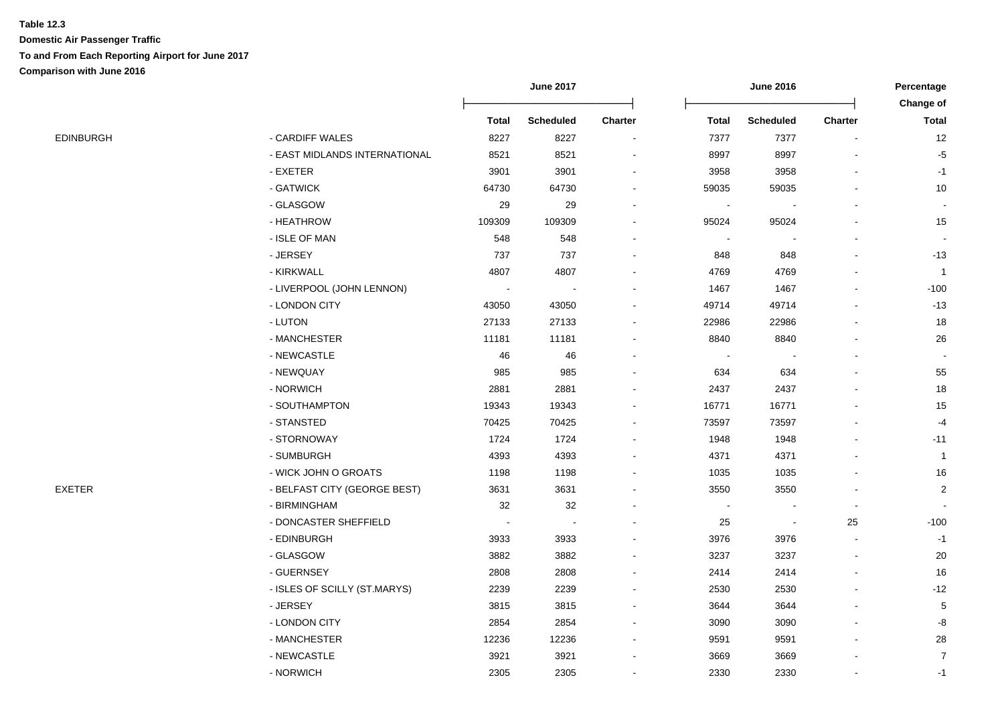|  |  | EDINBURGH |  |
|--|--|-----------|--|
|--|--|-----------|--|

|                  |                               |        |                  |                          |                |                  |                | Change of      |
|------------------|-------------------------------|--------|------------------|--------------------------|----------------|------------------|----------------|----------------|
|                  |                               | Total  | <b>Scheduled</b> | <b>Charter</b>           | Total          | <b>Scheduled</b> | <b>Charter</b> | <b>Total</b>   |
| <b>EDINBURGH</b> | - CARDIFF WALES               | 8227   | 8227             | $\overline{\phantom{a}}$ | 7377           | 7377             |                | 12             |
|                  | - EAST MIDLANDS INTERNATIONAL | 8521   | 8521             | $\overline{a}$           | 8997           | 8997             |                | $-5$           |
|                  | - EXETER                      | 3901   | 3901             |                          | 3958           | 3958             |                | $-1$           |
|                  | - GATWICK                     | 64730  | 64730            |                          | 59035          | 59035            |                | 10             |
|                  | - GLASGOW                     | 29     | 29               | $\blacksquare$           | $\blacksquare$ |                  |                | $\blacksquare$ |
|                  | - HEATHROW                    | 109309 | 109309           |                          | 95024          | 95024            |                | 15             |
|                  | - ISLE OF MAN                 | 548    | 548              |                          | $\blacksquare$ |                  |                | $\blacksquare$ |
|                  | - JERSEY                      | 737    | 737              | $\blacksquare$           | 848            | 848              |                | $-13$          |
|                  | - KIRKWALL                    | 4807   | 4807             |                          | 4769           | 4769             |                | $\mathbf{1}$   |
|                  | - LIVERPOOL (JOHN LENNON)     | $\sim$ | $\sim$           |                          | 1467           | 1467             |                | $-100$         |
|                  | - LONDON CITY                 | 43050  | 43050            |                          | 49714          | 49714            |                | $-13$          |
|                  | - LUTON                       | 27133  | 27133            |                          | 22986          | 22986            |                | 18             |
|                  | - MANCHESTER                  | 11181  | 11181            |                          | 8840           | 8840             |                | 26             |
|                  | - NEWCASTLE                   | 46     | 46               |                          |                |                  |                |                |
|                  | - NEWQUAY                     | 985    | 985              |                          | 634            | 634              |                | 55             |
|                  | - NORWICH                     | 2881   | 2881             |                          | 2437           | 2437             |                | 18             |
|                  | - SOUTHAMPTON                 | 19343  | 19343            | $\blacksquare$           | 16771          | 16771            |                | 15             |
|                  | - STANSTED                    | 70425  | 70425            |                          | 73597          | 73597            |                | $-4$           |
|                  | - STORNOWAY                   | 1724   | 1724             | $\blacksquare$           | 1948           | 1948             |                | $-11$          |
|                  | - SUMBURGH                    | 4393   | 4393             |                          | 4371           | 4371             |                | $\mathbf{1}$   |
|                  | - WICK JOHN O GROATS          | 1198   | 1198             |                          | 1035           | 1035             |                | 16             |
| EXETER           | - BELFAST CITY (GEORGE BEST)  | 3631   | 3631             |                          | 3550           | 3550             |                | $\overline{2}$ |
|                  | - BIRMINGHAM                  | 32     | 32               |                          |                |                  |                |                |
|                  | - DONCASTER SHEFFIELD         |        | $\sim$           |                          | 25             | $\blacksquare$   | 25             | $-100$         |
|                  | - EDINBURGH                   | 3933   | 3933             |                          | 3976           | 3976             | $\sim$         | $-1$           |
|                  | - GLASGOW                     | 3882   | 3882             |                          | 3237           | 3237             |                | 20             |
|                  | - GUERNSEY                    | 2808   | 2808             |                          | 2414           | 2414             |                | 16             |
|                  | - ISLES OF SCILLY (ST.MARYS)  | 2239   | 2239             |                          | 2530           | 2530             |                | $-12$          |
|                  | - JERSEY                      | 3815   | 3815             |                          | 3644           | 3644             |                | 5              |
|                  | - LONDON CITY                 | 2854   | 2854             |                          | 3090           | 3090             |                | -8             |
|                  | - MANCHESTER                  | 12236  | 12236            |                          | 9591           | 9591             |                | 28             |
|                  | - NEWCASTLE                   | 3921   | 3921             |                          | 3669           | 3669             |                | $\overline{7}$ |
|                  | - NORWICH                     | 2305   | 2305             | $\blacksquare$           | 2330           | 2330             |                | $-1$           |

**June 2017 June 2016 Percentage**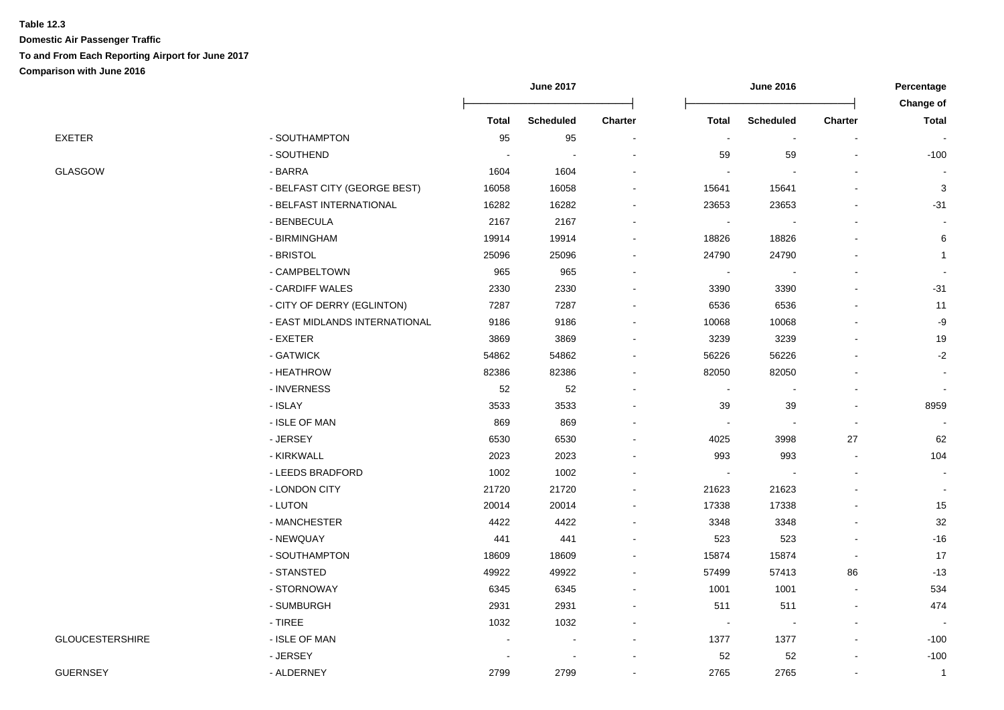|                        |                               | <b>June 2017</b> |                  | <b>June 2016</b>         |                |                  | Percentage<br>Change of |                |
|------------------------|-------------------------------|------------------|------------------|--------------------------|----------------|------------------|-------------------------|----------------|
|                        |                               | Total            | <b>Scheduled</b> | <b>Charter</b>           | <b>Total</b>   | <b>Scheduled</b> | <b>Charter</b>          | <b>Total</b>   |
| <b>EXETER</b>          | - SOUTHAMPTON                 | 95               | 95               | $\sim$                   | $\sim$         | $\sim$           | $\blacksquare$          |                |
|                        | - SOUTHEND                    |                  |                  |                          | 59             | 59               |                         | $-100$         |
| GLASGOW                | - BARRA                       | 1604             | 1604             |                          |                |                  |                         |                |
|                        | - BELFAST CITY (GEORGE BEST)  | 16058            | 16058            |                          | 15641          | 15641            |                         | 3              |
|                        | - BELFAST INTERNATIONAL       | 16282            | 16282            |                          | 23653          | 23653            |                         | $-31$          |
|                        | - BENBECULA                   | 2167             | 2167             | $\overline{\phantom{a}}$ |                |                  |                         |                |
|                        | - BIRMINGHAM                  | 19914            | 19914            | $\overline{\phantom{a}}$ | 18826          | 18826            |                         | 6              |
|                        | - BRISTOL                     | 25096            | 25096            | $\blacksquare$           | 24790          | 24790            |                         |                |
|                        | - CAMPBELTOWN                 | 965              | 965              | $\blacksquare$           | $\blacksquare$ |                  |                         |                |
|                        | - CARDIFF WALES               | 2330             | 2330             | $\blacksquare$           | 3390           | 3390             | $\overline{a}$          | $-31$          |
|                        | - CITY OF DERRY (EGLINTON)    | 7287             | 7287             | $\blacksquare$           | 6536           | 6536             | $\blacksquare$          | 11             |
|                        | - EAST MIDLANDS INTERNATIONAL | 9186             | 9186             | $\overline{a}$           | 10068          | 10068            | $\blacksquare$          | -9             |
|                        | - EXETER                      | 3869             | 3869             | $\overline{a}$           | 3239           | 3239             |                         | 19             |
|                        | - GATWICK                     | 54862            | 54862            | $\blacksquare$           | 56226          | 56226            |                         | $-2$           |
|                        | - HEATHROW                    | 82386            | 82386            |                          | 82050          | 82050            |                         |                |
|                        | - INVERNESS                   | 52               | 52               | $\blacksquare$           | $\blacksquare$ |                  |                         |                |
|                        | - ISLAY                       | 3533             | 3533             | $\overline{\phantom{a}}$ | 39             | 39               | $\overline{a}$          | 8959           |
|                        | - ISLE OF MAN                 | 869              | 869              |                          | $\mathbf{r}$   |                  | $\sim$                  |                |
|                        | - JERSEY                      | 6530             | 6530             | $\blacksquare$           | 4025           | 3998             | 27                      | 62             |
|                        | - KIRKWALL                    | 2023             | 2023             |                          | 993            | 993              | $\blacksquare$          | 104            |
|                        | - LEEDS BRADFORD              | 1002             | 1002             |                          | $\blacksquare$ |                  |                         | $\blacksquare$ |
|                        | - LONDON CITY                 | 21720            | 21720            |                          | 21623          | 21623            |                         |                |
|                        | - LUTON                       | 20014            | 20014            |                          | 17338          | 17338            |                         | 15             |
|                        | - MANCHESTER                  | 4422             | 4422             |                          | 3348           | 3348             |                         | 32             |
|                        | - NEWQUAY                     | 441              | 441              | $\overline{\phantom{a}}$ | 523            | 523              | $\overline{a}$          | $-16$          |
|                        | - SOUTHAMPTON                 | 18609            | 18609            | $\blacksquare$           | 15874          | 15874            | $\blacksquare$          | 17             |
|                        | - STANSTED                    | 49922            | 49922            | $\overline{\phantom{a}}$ | 57499          | 57413            | 86                      | $-13$          |
|                        | - STORNOWAY                   | 6345             | 6345             | $\sim$                   | 1001           | 1001             | $\sim$                  | 534            |
|                        | - SUMBURGH                    | 2931             | 2931             | $\overline{a}$           | 511            | 511              | $\blacksquare$          | 474            |
|                        | - TIREE                       | 1032             | 1032             | $\blacksquare$           | $\blacksquare$ |                  | $\mathbf{r}$            |                |
| <b>GLOUCESTERSHIRE</b> | - ISLE OF MAN                 |                  | $\overline{a}$   | $\sim$                   | 1377           | 1377             | $\overline{a}$          | $-100$         |
|                        | - JERSEY                      |                  |                  |                          | 52             | 52               |                         | $-100$         |
| <b>GUERNSEY</b>        | - ALDERNEY                    | 2799             | 2799             |                          | 2765           | 2765             |                         | $\mathbf{1}$   |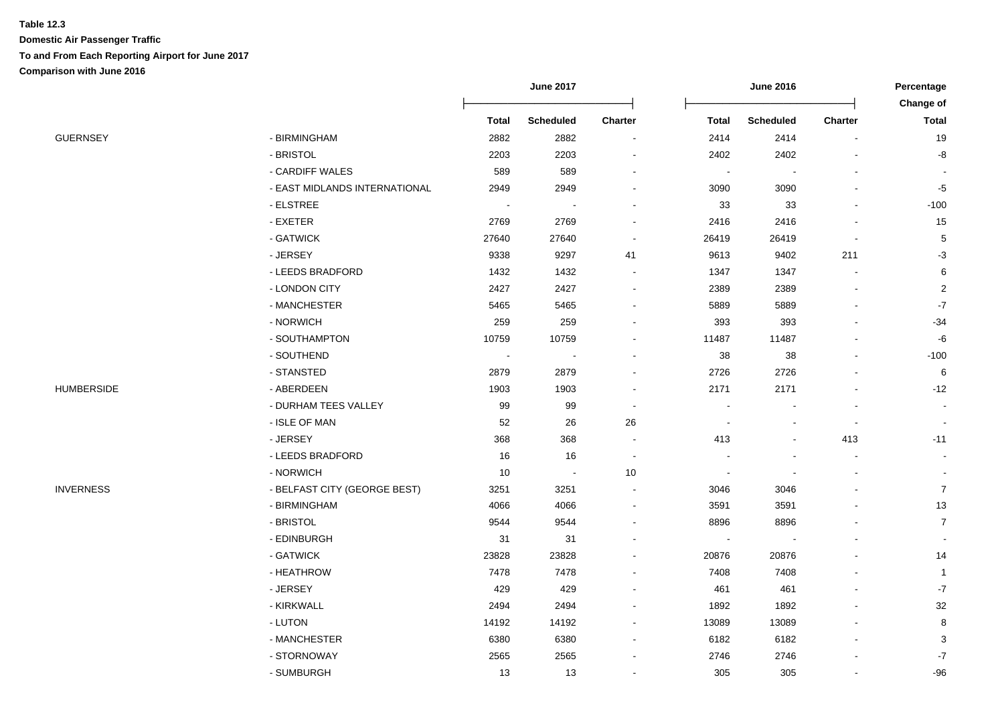|                   |                               |                          | <b>June 2017</b> |                          |                | <b>June 2016</b> |                |                           |
|-------------------|-------------------------------|--------------------------|------------------|--------------------------|----------------|------------------|----------------|---------------------------|
|                   |                               | <b>Total</b>             | <b>Scheduled</b> | <b>Charter</b>           | <b>Total</b>   | <b>Scheduled</b> | <b>Charter</b> | Change of<br><b>Total</b> |
| GUERNSEY          | - BIRMINGHAM                  | 2882                     | 2882             | $\blacksquare$           | 2414           | 2414             |                | 19                        |
|                   | - BRISTOL                     | 2203                     | 2203             | $\blacksquare$           | 2402           | 2402             |                | -8                        |
|                   | - CARDIFF WALES               | 589                      | 589              | $\overline{a}$           | $\blacksquare$ | $\blacksquare$   |                |                           |
|                   | - EAST MIDLANDS INTERNATIONAL | 2949                     | 2949             |                          | 3090           | 3090             |                | $-5$                      |
|                   | - ELSTREE                     |                          |                  |                          | 33             | 33               |                | $-100$                    |
|                   | - EXETER                      | 2769                     | 2769             |                          | 2416           | 2416             |                | 15                        |
|                   | - GATWICK                     | 27640                    | 27640            | $\overline{\phantom{a}}$ | 26419          | 26419            |                | $\,$ 5 $\,$               |
|                   | - JERSEY                      | 9338                     | 9297             | 41                       | 9613           | 9402             | 211            | $-3$                      |
|                   | - LEEDS BRADFORD              | 1432                     | 1432             | $\blacksquare$           | 1347           | 1347             | $\blacksquare$ | $\,6\,$                   |
|                   | - LONDON CITY                 | 2427                     | 2427             | $\overline{\phantom{a}}$ | 2389           | 2389             | $\overline{a}$ | 2                         |
|                   | - MANCHESTER                  | 5465                     | 5465             | $\overline{\phantom{a}}$ | 5889           | 5889             |                | $\textnormal{-}7$         |
|                   | - NORWICH                     | 259                      | 259              | $\overline{\phantom{a}}$ | 393            | 393              |                | $-34$                     |
|                   | - SOUTHAMPTON                 | 10759                    | 10759            |                          | 11487          | 11487            |                | $-6$                      |
|                   | - SOUTHEND                    | $\overline{\phantom{a}}$ |                  |                          | 38             | 38               |                | $-100$                    |
|                   | - STANSTED                    | 2879                     | 2879             |                          | 2726           | 2726             |                | 6                         |
| <b>HUMBERSIDE</b> | - ABERDEEN                    | 1903                     | 1903             |                          | 2171           | 2171             |                | $-12$                     |
|                   | - DURHAM TEES VALLEY          | 99                       | 99               | $\overline{\phantom{a}}$ |                |                  |                | $\blacksquare$            |
|                   | - ISLE OF MAN                 | 52                       | 26               | 26                       |                |                  | $\blacksquare$ |                           |
|                   | - JERSEY                      | 368                      | 368              | $\overline{\phantom{a}}$ | 413            | $\blacksquare$   | 413            | $-11$                     |
|                   | - LEEDS BRADFORD              | 16                       | 16               | $\overline{\phantom{a}}$ |                | $\blacksquare$   | $\blacksquare$ |                           |
|                   | - NORWICH                     | $10$                     | $\blacksquare$   | $10$                     |                |                  | $\blacksquare$ |                           |
| <b>INVERNESS</b>  | - BELFAST CITY (GEORGE BEST)  | 3251                     | 3251             | $\blacksquare$           | 3046           | 3046             |                | $\boldsymbol{7}$          |
|                   | - BIRMINGHAM                  | 4066                     | 4066             | $\blacksquare$           | 3591           | 3591             |                | $13$                      |
|                   | - BRISTOL                     | 9544                     | 9544             |                          | 8896           | 8896             |                | $\overline{7}$            |
|                   | - EDINBURGH                   | 31                       | 31               |                          |                |                  |                |                           |
|                   | - GATWICK                     | 23828                    | 23828            |                          | 20876          | 20876            |                | 14                        |
|                   | - HEATHROW                    | 7478                     | 7478             |                          | 7408           | 7408             |                | $\mathbf{1}$              |
|                   | - JERSEY                      | 429                      | 429              |                          | 461            | 461              |                | $-7$                      |
|                   | - KIRKWALL                    | 2494                     | 2494             |                          | 1892           | 1892             |                | 32                        |
|                   | - LUTON                       | 14192                    | 14192            | $\blacksquare$           | 13089          | 13089            |                | 8                         |
|                   | - MANCHESTER                  | 6380                     | 6380             | $\overline{a}$           | 6182           | 6182             |                | 3                         |
|                   | - STORNOWAY                   | 2565                     | 2565             |                          | 2746           | 2746             |                | $\textnormal{-}7$         |
|                   | - SUMBURGH                    | 13                       | 13               | $\sim$                   | 305            | 305              | $\blacksquare$ | $-96$                     |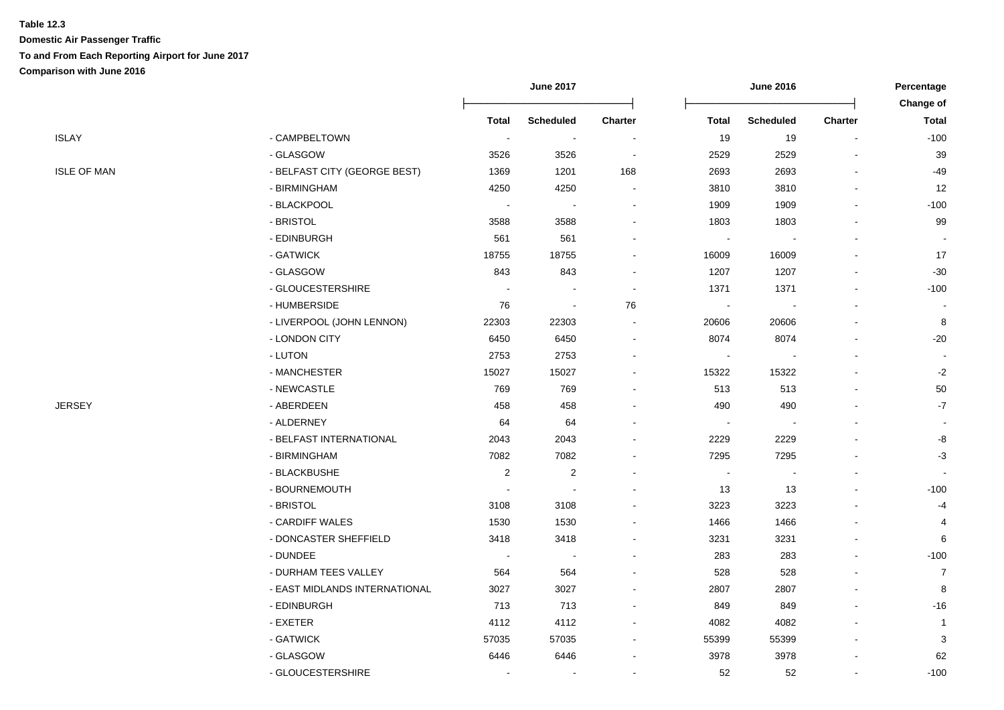|                               | <b>June 2017</b>         |                          |                          | Percentage<br>Change of  |                  |                |                |
|-------------------------------|--------------------------|--------------------------|--------------------------|--------------------------|------------------|----------------|----------------|
|                               | <b>Total</b>             | <b>Scheduled</b>         | <b>Charter</b>           | <b>Total</b>             | <b>Scheduled</b> | <b>Charter</b> | <b>Total</b>   |
| - CAMPBELTOWN                 | $\sim$                   | $\sim$                   | $\overline{\phantom{a}}$ | 19                       | 19               | $\blacksquare$ | $-100$         |
| - GLASGOW                     | 3526                     | 3526                     | $\sim$                   | 2529                     | 2529             |                | 39             |
| - BELFAST CITY (GEORGE BEST)  | 1369                     | 1201                     | 168                      | 2693                     | 2693             |                | -49            |
| - BIRMINGHAM                  | 4250                     | 4250                     | $\blacksquare$           | 3810                     | 3810             |                | 12             |
| - BLACKPOOL                   |                          |                          |                          | 1909                     | 1909             |                | $-100$         |
| - BRISTOL                     | 3588                     | 3588                     |                          | 1803                     | 1803             |                | 99             |
| - EDINBURGH                   | 561                      | 561                      | ä,                       | $\overline{\phantom{a}}$ |                  |                |                |
| - GATWICK                     | 18755                    | 18755                    | ۰                        | 16009                    | 16009            |                | 17             |
| - GLASGOW                     | 843                      | 843                      | $\blacksquare$           | 1207                     | 1207             |                | $-30$          |
| - GLOUCESTERSHIRE             | $\overline{\phantom{a}}$ |                          | $\sim$                   | 1371                     | 1371             |                | $-100$         |
| - HUMBERSIDE                  | 76                       | $\overline{\phantom{a}}$ | 76                       | $\overline{\phantom{a}}$ |                  |                |                |
| - LIVERPOOL (JOHN LENNON)     | 22303                    | 22303                    | $\overline{\phantom{a}}$ | 20606                    | 20606            |                | 8              |
| - LONDON CITY                 | 6450                     | 6450                     | $\blacksquare$           | 8074                     | 8074             |                | $-20$          |
| - LUTON                       | 2753                     | 2753                     | $\blacksquare$           | $\sim$                   | $\blacksquare$   |                |                |
| - MANCHESTER                  | 15027                    | 15027                    | ٠                        | 15322                    | 15322            |                | $-2$           |
| - NEWCASTLE                   | 769                      | 769                      |                          | 513                      | 513              |                | 50             |
| - ABERDEEN                    | 458                      | 458                      |                          | 490                      | 490              |                | $-7$           |
| - ALDERNEY                    | 64                       | 64                       |                          | $\overline{\phantom{a}}$ |                  |                |                |
| - BELFAST INTERNATIONAL       | 2043                     | 2043                     | $\blacksquare$           | 2229                     | 2229             |                | -8             |
| - BIRMINGHAM                  | 7082                     | 7082                     | $\blacksquare$           | 7295                     | 7295             |                | $-3$           |
| - BLACKBUSHE                  | $\sqrt{2}$               | $\sqrt{2}$               |                          | $\overline{\phantom{a}}$ | $\blacksquare$   |                |                |
| - BOURNEMOUTH                 | $\overline{\phantom{a}}$ |                          |                          | 13                       | 13               |                | $-100$         |
| - BRISTOL                     | 3108                     | 3108                     |                          | 3223                     | 3223             |                | -4             |
| - CARDIFF WALES               | 1530                     | 1530                     |                          | 1466                     | 1466             |                | 4              |
| - DONCASTER SHEFFIELD         | 3418                     | 3418                     | $\blacksquare$           | 3231                     | 3231             |                | 6              |
| - DUNDEE                      | $\overline{\phantom{a}}$ | $\sim$                   | $\overline{a}$           | 283                      | 283              |                | $-100$         |
| - DURHAM TEES VALLEY          | 564                      | 564                      |                          | 528                      | 528              |                | 7              |
| - EAST MIDLANDS INTERNATIONAL | 3027                     | 3027                     |                          | 2807                     | 2807             |                | 8              |
| - EDINBURGH                   | 713                      | 713                      | ä,                       | 849                      | 849              |                | $-16$          |
| - EXETER                      | 4112                     | 4112                     | $\blacksquare$           | 4082                     | 4082             |                | $\overline{1}$ |
| - GATWICK                     | 57035                    | 57035                    | $\blacksquare$           | 55399                    | 55399            |                | 3              |
| - GLASGOW                     | 6446                     | 6446                     |                          | 3978                     | 3978             |                | 62             |
| - GLOUCESTERSHIRE             | $\overline{\phantom{a}}$ |                          |                          | 52                       | 52               | $\blacksquare$ | $-100$         |
|                               |                          |                          |                          |                          |                  |                |                |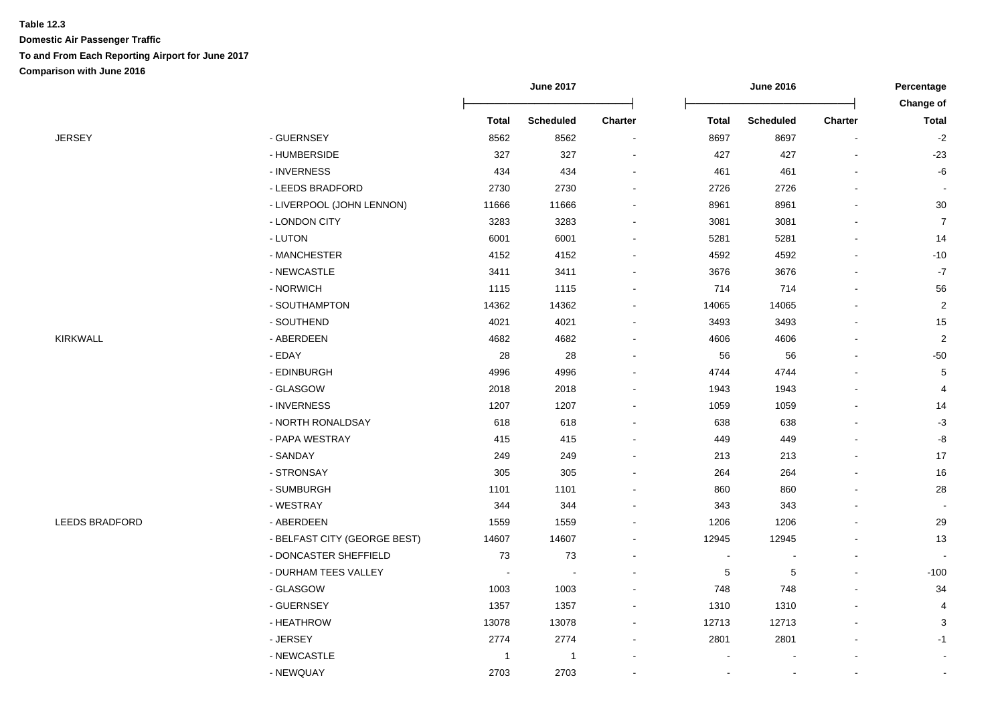|                       |                              | <b>June 2017</b> |                  | <b>June 2016</b> |              |                  | Percentage               |                           |
|-----------------------|------------------------------|------------------|------------------|------------------|--------------|------------------|--------------------------|---------------------------|
|                       |                              | <b>Total</b>     | <b>Scheduled</b> | Charter          | <b>Total</b> | <b>Scheduled</b> | <b>Charter</b>           | Change of<br><b>Total</b> |
|                       | - GUERNSEY                   | 8562             |                  |                  |              | 8697             |                          | $-2$                      |
| JERSEY                |                              |                  | 8562             | $\overline{a}$   | 8697         |                  | $\overline{\phantom{a}}$ |                           |
|                       | - HUMBERSIDE                 | 327              | 327              |                  | 427          | 427              | $\sim$                   | $-23$                     |
|                       | - INVERNESS                  | 434              | 434              |                  | 461          | 461              |                          | -6                        |
|                       | - LEEDS BRADFORD             | 2730             | 2730             |                  | 2726         | 2726             |                          |                           |
|                       | - LIVERPOOL (JOHN LENNON)    | 11666            | 11666            |                  | 8961         | 8961             |                          | $30\,$                    |
|                       | - LONDON CITY                | 3283             | 3283             |                  | 3081         | 3081             |                          | $\overline{7}$            |
|                       | - LUTON                      | 6001             | 6001             |                  | 5281         | 5281             |                          | 14                        |
|                       | - MANCHESTER                 | 4152             | 4152             |                  | 4592         | 4592             |                          | $-10$                     |
|                       | - NEWCASTLE                  | 3411             | 3411             |                  | 3676         | 3676             |                          | $-7$                      |
|                       | - NORWICH                    | 1115             | 1115             | $\blacksquare$   | 714          | 714              |                          | 56                        |
|                       | - SOUTHAMPTON                | 14362            | 14362            | $\blacksquare$   | 14065        | 14065            |                          | $\overline{2}$            |
|                       | - SOUTHEND                   | 4021             | 4021             |                  | 3493         | 3493             |                          | 15                        |
| <b>KIRKWALL</b>       | - ABERDEEN                   | 4682             | 4682             |                  | 4606         | 4606             | $\overline{a}$           | $\sqrt{2}$                |
|                       | - EDAY                       | 28               | 28               |                  | 56           | 56               |                          | $-50$                     |
|                       | - EDINBURGH                  | 4996             | 4996             |                  | 4744         | 4744             |                          | 5                         |
|                       | - GLASGOW                    | 2018             | 2018             |                  | 1943         | 1943             |                          | 4                         |
|                       | - INVERNESS                  | 1207             | 1207             |                  | 1059         | 1059             |                          | 14                        |
|                       | - NORTH RONALDSAY            | 618              | 618              |                  | 638          | 638              |                          | $-3$                      |
|                       | - PAPA WESTRAY               | 415              | 415              |                  | 449          | 449              |                          | -8                        |
|                       | - SANDAY                     | 249              | 249              |                  | 213          | 213              |                          | 17                        |
|                       | - STRONSAY                   | 305              | 305              |                  | 264          | 264              |                          | 16                        |
|                       | - SUMBURGH                   | 1101             | 1101             |                  | 860          | 860              |                          | 28                        |
|                       | - WESTRAY                    | 344              | 344              |                  | 343          | 343              |                          |                           |
| <b>LEEDS BRADFORD</b> | - ABERDEEN                   | 1559             | 1559             |                  | 1206         | 1206             |                          | 29                        |
|                       | - BELFAST CITY (GEORGE BEST) | 14607            | 14607            |                  | 12945        | 12945            |                          | 13                        |
|                       | - DONCASTER SHEFFIELD        | 73               | 73               |                  |              |                  |                          |                           |
|                       | - DURHAM TEES VALLEY         | $\sim$           |                  |                  | $\sqrt{5}$   | $\sqrt{5}$       |                          | $-100$                    |
|                       | - GLASGOW                    | 1003             | 1003             |                  | 748          | 748              |                          | 34                        |
|                       | - GUERNSEY                   | 1357             | 1357             |                  | 1310         | 1310             |                          | $\overline{4}$            |
|                       | - HEATHROW                   | 13078            | 13078            |                  | 12713        | 12713            |                          | $\sqrt{3}$                |
|                       | - JERSEY                     | 2774             | 2774             |                  | 2801         | 2801             |                          | $-1$                      |
|                       | - NEWCASTLE                  | $\overline{1}$   | $\overline{1}$   |                  |              |                  |                          |                           |
|                       | - NEWQUAY                    | 2703             | 2703             |                  |              | $\blacksquare$   | $\blacksquare$           |                           |
|                       |                              |                  |                  |                  |              |                  |                          |                           |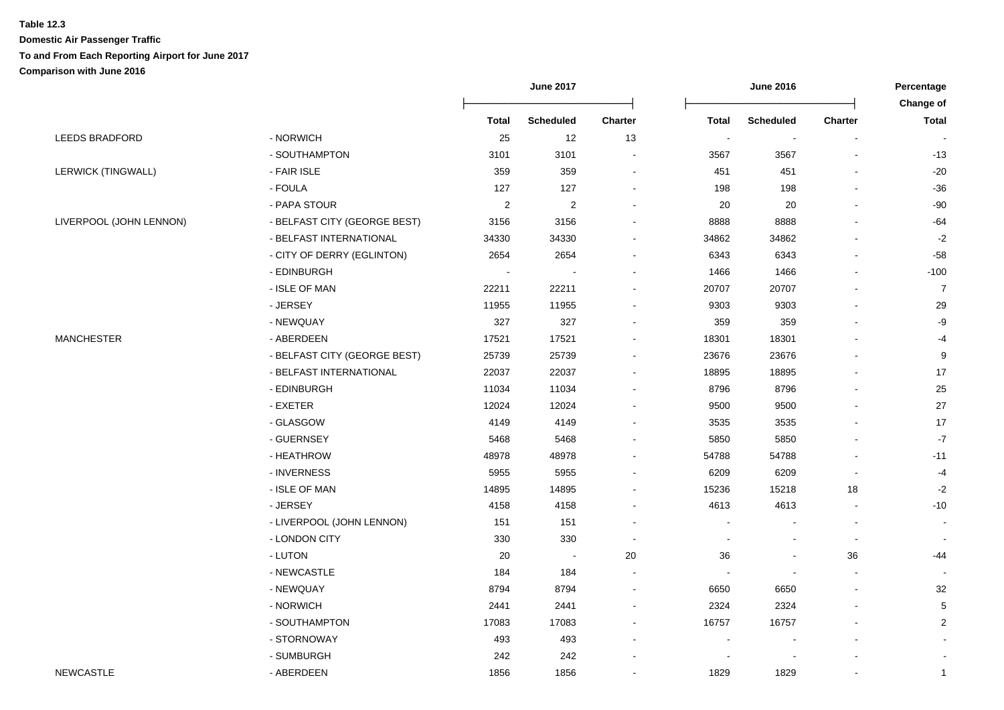|                         |                              | <b>June 2017</b> |                  |                | <b>June 2016</b>         |                          |                          | Percentage                |
|-------------------------|------------------------------|------------------|------------------|----------------|--------------------------|--------------------------|--------------------------|---------------------------|
|                         |                              | <b>Total</b>     | <b>Scheduled</b> | <b>Charter</b> | <b>Total</b>             | <b>Scheduled</b>         | <b>Charter</b>           | Change of<br><b>Total</b> |
| <b>LEEDS BRADFORD</b>   | - NORWICH                    | 25               | 12               | 13             | $\overline{\phantom{a}}$ | $\blacksquare$           |                          |                           |
|                         | - SOUTHAMPTON                | 3101             | 3101             |                | 3567                     | 3567                     |                          | -13                       |
| LERWICK (TINGWALL)      | - FAIR ISLE                  | 359              | 359              |                | 451                      | 451                      |                          | $-20$                     |
|                         | - FOULA                      | 127              | 127              |                | 198                      | 198                      |                          | $-36$                     |
|                         | - PAPA STOUR                 | $\sqrt{2}$       | $\overline{2}$   |                | 20                       | 20                       |                          | -90                       |
| LIVERPOOL (JOHN LENNON) | - BELFAST CITY (GEORGE BEST) | 3156             | 3156             |                | 8888                     | 8888                     |                          | $-64$                     |
|                         | - BELFAST INTERNATIONAL      | 34330            | 34330            |                | 34862                    | 34862                    |                          | $-2$                      |
|                         | - CITY OF DERRY (EGLINTON)   | 2654             | 2654             |                | 6343                     | 6343                     |                          | $-58$                     |
|                         | - EDINBURGH                  |                  |                  |                | 1466                     | 1466                     |                          | $-100$                    |
|                         | - ISLE OF MAN                | 22211            | 22211            | $\blacksquare$ | 20707                    | 20707                    | $\overline{\phantom{a}}$ | $\overline{7}$            |
|                         | - JERSEY                     | 11955            | 11955            |                | 9303                     | 9303                     | $\overline{a}$           | 29                        |
|                         | - NEWQUAY                    | 327              | 327              |                | 359                      | 359                      |                          | $-9$                      |
| MANCHESTER              | - ABERDEEN                   | 17521            | 17521            |                | 18301                    | 18301                    |                          | $-4$                      |
|                         | - BELFAST CITY (GEORGE BEST) | 25739            | 25739            |                | 23676                    | 23676                    |                          | $9\,$                     |
|                         | - BELFAST INTERNATIONAL      | 22037            | 22037            |                | 18895                    | 18895                    |                          | 17                        |
|                         | - EDINBURGH                  | 11034            | 11034            |                | 8796                     | 8796                     |                          | 25                        |
|                         | - EXETER                     | 12024            | 12024            |                | 9500                     | 9500                     |                          | 27                        |
|                         | - GLASGOW                    | 4149             | 4149             |                | 3535                     | 3535                     |                          | 17                        |
|                         | - GUERNSEY                   | 5468             | 5468             |                | 5850                     | 5850                     |                          | $-7$                      |
|                         | - HEATHROW                   | 48978            | 48978            |                | 54788                    | 54788                    |                          | $-11$                     |
|                         | - INVERNESS                  | 5955             | 5955             |                | 6209                     | 6209                     | $\blacksquare$           | $-4$                      |
|                         | - ISLE OF MAN                | 14895            | 14895            |                | 15236                    | 15218                    | 18                       | $-2$                      |
|                         | - JERSEY                     | 4158             | 4158             |                | 4613                     | 4613                     | $\overline{\phantom{a}}$ | $-10$                     |
|                         | - LIVERPOOL (JOHN LENNON)    | 151              | 151              |                | $\blacksquare$           |                          | $\overline{\phantom{a}}$ | $\sim$                    |
|                         | - LONDON CITY                | 330              | 330              |                |                          |                          | $\blacksquare$           |                           |
|                         | - LUTON                      | 20               | ÷,               | 20             | 36                       | $\overline{\phantom{a}}$ | 36                       | -44                       |
|                         | - NEWCASTLE                  | 184              | 184              |                |                          |                          |                          |                           |
|                         | - NEWQUAY                    | 8794             | 8794             |                | 6650                     | 6650                     |                          | 32                        |
|                         | - NORWICH                    | 2441             | 2441             |                | 2324                     | 2324                     |                          | 5                         |
|                         | - SOUTHAMPTON                | 17083            | 17083            |                | 16757                    | 16757                    |                          | $\overline{2}$            |
|                         | - STORNOWAY                  | 493              | 493              |                |                          |                          |                          |                           |
|                         | - SUMBURGH                   | 242              | 242              |                |                          |                          |                          |                           |
| <b>NEWCASTLE</b>        | - ABERDEEN                   | 1856             | 1856             |                | 1829                     | 1829                     |                          | $\mathbf{1}$              |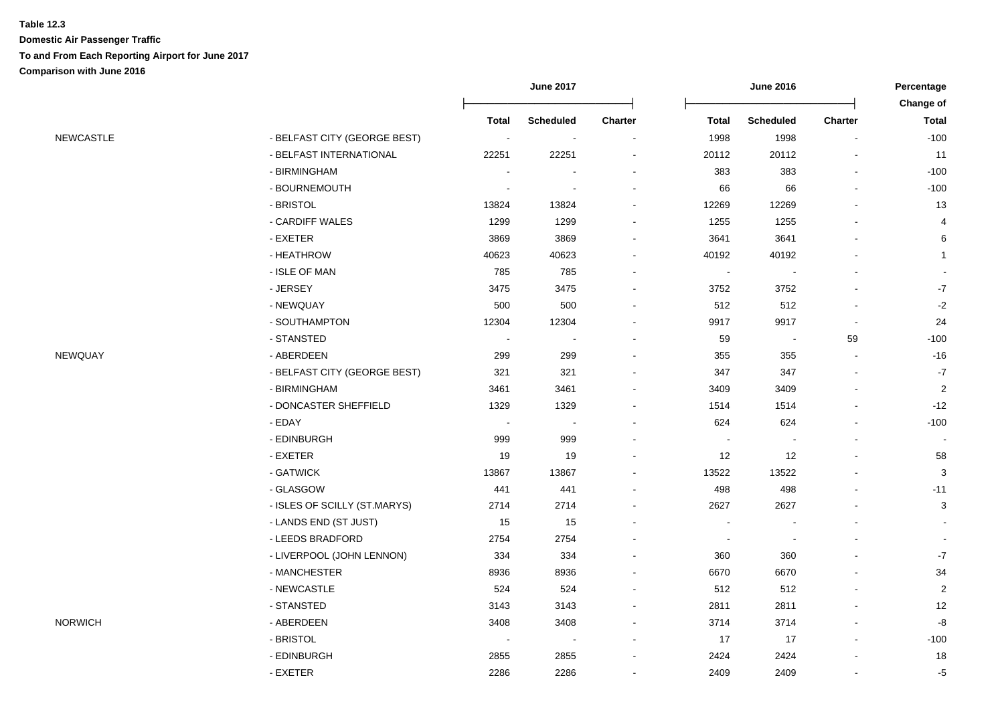|                              |                                                                                                                                                                                                                                                                                                                                                                                                   | <b>June 2017</b>                                                                                                                                              |                                                                                                                                                 |                          | <b>June 2016</b>                                                                                                                                                                 |                                                                                                                                                                                                           |                                                                              |
|------------------------------|---------------------------------------------------------------------------------------------------------------------------------------------------------------------------------------------------------------------------------------------------------------------------------------------------------------------------------------------------------------------------------------------------|---------------------------------------------------------------------------------------------------------------------------------------------------------------|-------------------------------------------------------------------------------------------------------------------------------------------------|--------------------------|----------------------------------------------------------------------------------------------------------------------------------------------------------------------------------|-----------------------------------------------------------------------------------------------------------------------------------------------------------------------------------------------------------|------------------------------------------------------------------------------|
|                              |                                                                                                                                                                                                                                                                                                                                                                                                   |                                                                                                                                                               |                                                                                                                                                 |                          |                                                                                                                                                                                  |                                                                                                                                                                                                           | Change of<br><b>Total</b>                                                    |
|                              |                                                                                                                                                                                                                                                                                                                                                                                                   |                                                                                                                                                               |                                                                                                                                                 |                          |                                                                                                                                                                                  |                                                                                                                                                                                                           | $-100$                                                                       |
|                              |                                                                                                                                                                                                                                                                                                                                                                                                   |                                                                                                                                                               |                                                                                                                                                 |                          |                                                                                                                                                                                  |                                                                                                                                                                                                           | 11                                                                           |
|                              |                                                                                                                                                                                                                                                                                                                                                                                                   |                                                                                                                                                               |                                                                                                                                                 |                          |                                                                                                                                                                                  |                                                                                                                                                                                                           | $-100$                                                                       |
|                              | $\overline{a}$                                                                                                                                                                                                                                                                                                                                                                                    |                                                                                                                                                               |                                                                                                                                                 |                          |                                                                                                                                                                                  |                                                                                                                                                                                                           | $-100$                                                                       |
|                              |                                                                                                                                                                                                                                                                                                                                                                                                   |                                                                                                                                                               |                                                                                                                                                 |                          |                                                                                                                                                                                  |                                                                                                                                                                                                           | 13                                                                           |
|                              |                                                                                                                                                                                                                                                                                                                                                                                                   |                                                                                                                                                               |                                                                                                                                                 |                          |                                                                                                                                                                                  |                                                                                                                                                                                                           | 4                                                                            |
|                              |                                                                                                                                                                                                                                                                                                                                                                                                   |                                                                                                                                                               |                                                                                                                                                 |                          |                                                                                                                                                                                  |                                                                                                                                                                                                           | 6                                                                            |
|                              |                                                                                                                                                                                                                                                                                                                                                                                                   |                                                                                                                                                               |                                                                                                                                                 |                          |                                                                                                                                                                                  |                                                                                                                                                                                                           | $\overline{1}$                                                               |
|                              |                                                                                                                                                                                                                                                                                                                                                                                                   |                                                                                                                                                               |                                                                                                                                                 |                          |                                                                                                                                                                                  |                                                                                                                                                                                                           |                                                                              |
|                              |                                                                                                                                                                                                                                                                                                                                                                                                   |                                                                                                                                                               |                                                                                                                                                 |                          |                                                                                                                                                                                  |                                                                                                                                                                                                           | $\text{-}7$                                                                  |
|                              |                                                                                                                                                                                                                                                                                                                                                                                                   |                                                                                                                                                               |                                                                                                                                                 |                          |                                                                                                                                                                                  |                                                                                                                                                                                                           | $-2$                                                                         |
|                              |                                                                                                                                                                                                                                                                                                                                                                                                   |                                                                                                                                                               |                                                                                                                                                 |                          |                                                                                                                                                                                  |                                                                                                                                                                                                           | 24                                                                           |
|                              |                                                                                                                                                                                                                                                                                                                                                                                                   | $\sim$                                                                                                                                                        |                                                                                                                                                 |                          |                                                                                                                                                                                  |                                                                                                                                                                                                           | $-100$                                                                       |
|                              |                                                                                                                                                                                                                                                                                                                                                                                                   |                                                                                                                                                               |                                                                                                                                                 |                          |                                                                                                                                                                                  |                                                                                                                                                                                                           | $-16$                                                                        |
|                              |                                                                                                                                                                                                                                                                                                                                                                                                   |                                                                                                                                                               |                                                                                                                                                 |                          |                                                                                                                                                                                  |                                                                                                                                                                                                           | $-7$                                                                         |
|                              |                                                                                                                                                                                                                                                                                                                                                                                                   |                                                                                                                                                               |                                                                                                                                                 |                          |                                                                                                                                                                                  |                                                                                                                                                                                                           | $\overline{2}$                                                               |
|                              |                                                                                                                                                                                                                                                                                                                                                                                                   |                                                                                                                                                               |                                                                                                                                                 |                          |                                                                                                                                                                                  |                                                                                                                                                                                                           | $-12$                                                                        |
|                              | $\sim$                                                                                                                                                                                                                                                                                                                                                                                            | $\sim$                                                                                                                                                        |                                                                                                                                                 |                          |                                                                                                                                                                                  |                                                                                                                                                                                                           | $-100$                                                                       |
|                              | 999                                                                                                                                                                                                                                                                                                                                                                                               |                                                                                                                                                               |                                                                                                                                                 | $\overline{\phantom{a}}$ | $\blacksquare$                                                                                                                                                                   |                                                                                                                                                                                                           | $\sim$                                                                       |
|                              | 19                                                                                                                                                                                                                                                                                                                                                                                                |                                                                                                                                                               |                                                                                                                                                 |                          |                                                                                                                                                                                  |                                                                                                                                                                                                           | 58                                                                           |
|                              | 13867                                                                                                                                                                                                                                                                                                                                                                                             | 13867                                                                                                                                                         |                                                                                                                                                 | 13522                    |                                                                                                                                                                                  |                                                                                                                                                                                                           | 3                                                                            |
| - GLASGOW                    | 441                                                                                                                                                                                                                                                                                                                                                                                               | 441                                                                                                                                                           |                                                                                                                                                 | 498                      | 498                                                                                                                                                                              |                                                                                                                                                                                                           | $-11$                                                                        |
| - ISLES OF SCILLY (ST.MARYS) | 2714                                                                                                                                                                                                                                                                                                                                                                                              | 2714                                                                                                                                                          |                                                                                                                                                 | 2627                     | 2627                                                                                                                                                                             |                                                                                                                                                                                                           | 3                                                                            |
| - LANDS END (ST JUST)        | 15                                                                                                                                                                                                                                                                                                                                                                                                | 15                                                                                                                                                            |                                                                                                                                                 | $\blacksquare$           |                                                                                                                                                                                  |                                                                                                                                                                                                           |                                                                              |
| - LEEDS BRADFORD             | 2754                                                                                                                                                                                                                                                                                                                                                                                              | 2754                                                                                                                                                          |                                                                                                                                                 | $\sim$                   |                                                                                                                                                                                  |                                                                                                                                                                                                           |                                                                              |
|                              | 334                                                                                                                                                                                                                                                                                                                                                                                               | 334                                                                                                                                                           |                                                                                                                                                 | 360                      | 360                                                                                                                                                                              |                                                                                                                                                                                                           | $\textbf{-7}$                                                                |
| - MANCHESTER                 | 8936                                                                                                                                                                                                                                                                                                                                                                                              | 8936                                                                                                                                                          |                                                                                                                                                 | 6670                     | 6670                                                                                                                                                                             |                                                                                                                                                                                                           | 34                                                                           |
| - NEWCASTLE                  | 524                                                                                                                                                                                                                                                                                                                                                                                               | 524                                                                                                                                                           |                                                                                                                                                 | 512                      | 512                                                                                                                                                                              |                                                                                                                                                                                                           | $\overline{2}$                                                               |
| - STANSTED                   | 3143                                                                                                                                                                                                                                                                                                                                                                                              | 3143                                                                                                                                                          |                                                                                                                                                 | 2811                     | 2811                                                                                                                                                                             |                                                                                                                                                                                                           | 12                                                                           |
| - ABERDEEN                   | 3408                                                                                                                                                                                                                                                                                                                                                                                              | 3408                                                                                                                                                          |                                                                                                                                                 | 3714                     | 3714                                                                                                                                                                             |                                                                                                                                                                                                           | $\mbox{-}8$                                                                  |
| - BRISTOL                    | $\sim$                                                                                                                                                                                                                                                                                                                                                                                            | $\sim$                                                                                                                                                        |                                                                                                                                                 | 17                       | 17                                                                                                                                                                               | $\blacksquare$                                                                                                                                                                                            | $-100$                                                                       |
| - EDINBURGH                  | 2855                                                                                                                                                                                                                                                                                                                                                                                              | 2855                                                                                                                                                          |                                                                                                                                                 | 2424                     | 2424                                                                                                                                                                             |                                                                                                                                                                                                           | 18                                                                           |
| - EXETER                     | 2286                                                                                                                                                                                                                                                                                                                                                                                              | 2286                                                                                                                                                          |                                                                                                                                                 | 2409                     | 2409                                                                                                                                                                             | $\blacksquare$                                                                                                                                                                                            | $-5$                                                                         |
|                              | - BELFAST CITY (GEORGE BEST)<br>- BELFAST INTERNATIONAL<br>- BIRMINGHAM<br>- BOURNEMOUTH<br>- BRISTOL<br>- CARDIFF WALES<br>- EXETER<br>- HEATHROW<br>- ISLE OF MAN<br>- JERSEY<br>- NEWQUAY<br>- SOUTHAMPTON<br>- STANSTED<br>- ABERDEEN<br>- BELFAST CITY (GEORGE BEST)<br>- BIRMINGHAM<br>- DONCASTER SHEFFIELD<br>- EDAY<br>- EDINBURGH<br>- EXETER<br>- GATWICK<br>- LIVERPOOL (JOHN LENNON) | Total<br>$\sim$<br>22251<br>$\overline{\phantom{a}}$<br>13824<br>1299<br>3869<br>40623<br>785<br>3475<br>500<br>12304<br>$\sim$<br>299<br>321<br>3461<br>1329 | <b>Scheduled</b><br>$\sim$<br>22251<br>13824<br>1299<br>3869<br>40623<br>785<br>3475<br>500<br>12304<br>299<br>321<br>3461<br>1329<br>999<br>19 | Charter                  | <b>Total</b><br>1998<br>20112<br>383<br>66<br>12269<br>1255<br>3641<br>40192<br>$\overline{\phantom{a}}$<br>3752<br>512<br>9917<br>59<br>355<br>347<br>3409<br>1514<br>624<br>12 | <b>Scheduled</b><br>1998<br>20112<br>383<br>66<br>12269<br>1255<br>3641<br>40192<br>$\overline{\phantom{a}}$<br>3752<br>512<br>9917<br>$\blacksquare$<br>355<br>347<br>3409<br>1514<br>624<br>12<br>13522 | <b>Charter</b><br>$\overline{\phantom{a}}$<br>$\sim$<br>$\blacksquare$<br>59 |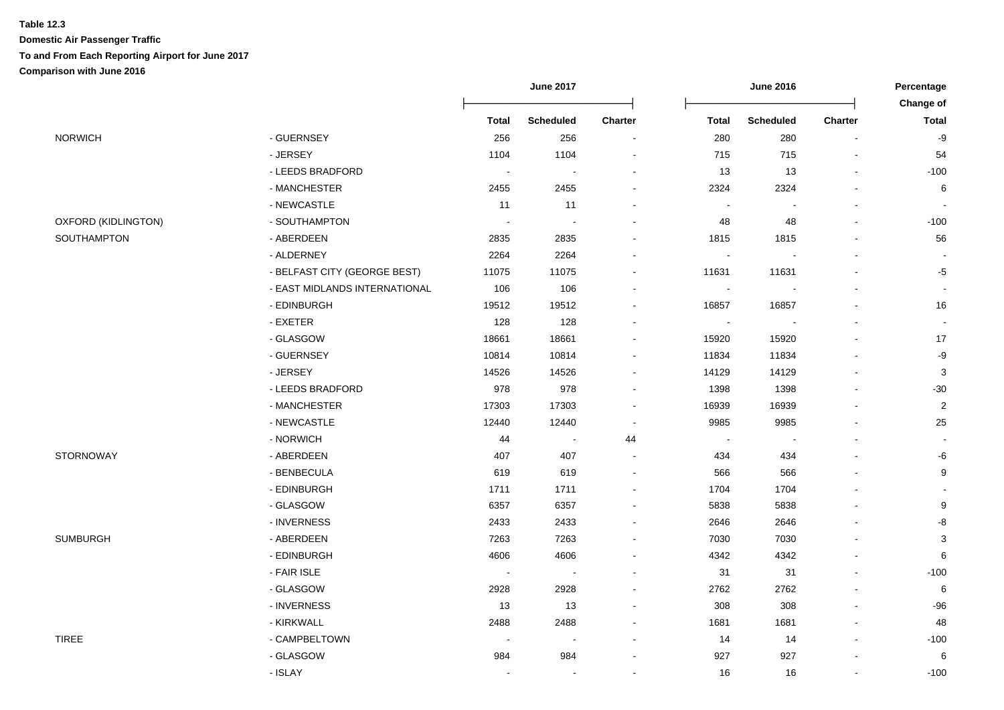|                     |                               | <b>June 2017</b> |                             | <b>June 2016</b>         |                |                  | Percentage               |                           |
|---------------------|-------------------------------|------------------|-----------------------------|--------------------------|----------------|------------------|--------------------------|---------------------------|
|                     |                               |                  |                             |                          |                |                  |                          | Change of                 |
|                     |                               | <b>Total</b>     | <b>Scheduled</b>            | <b>Charter</b>           | <b>Total</b>   | <b>Scheduled</b> | <b>Charter</b>           | <b>Total</b>              |
| <b>NORWICH</b>      | - GUERNSEY                    | 256              | 256                         | $\overline{\phantom{a}}$ | 280            | 280              |                          | -9                        |
|                     | - JERSEY                      | 1104             | 1104                        | $\blacksquare$           | 715            | 715              | $\overline{\phantom{a}}$ | 54                        |
|                     | - LEEDS BRADFORD              | $\sim$           | $\sim$                      | $\blacksquare$           | $13$           | 13               | $\blacksquare$           | $-100$                    |
|                     | - MANCHESTER                  | 2455             | 2455                        | $\blacksquare$           | 2324           | 2324             |                          | 6                         |
|                     | - NEWCASTLE                   | 11               | 11                          |                          | $\blacksquare$ |                  |                          |                           |
| OXFORD (KIDLINGTON) | - SOUTHAMPTON                 |                  |                             |                          | 48             | 48               |                          | $-100$                    |
| SOUTHAMPTON         | - ABERDEEN                    | 2835             | 2835                        |                          | 1815           | 1815             |                          | 56                        |
|                     | - ALDERNEY                    | 2264             | 2264                        |                          | $\blacksquare$ |                  |                          |                           |
|                     | - BELFAST CITY (GEORGE BEST)  | 11075            | 11075                       | $\blacksquare$           | 11631          | 11631            |                          | $-5$                      |
|                     | - EAST MIDLANDS INTERNATIONAL | 106              | 106                         | $\blacksquare$           | $\blacksquare$ |                  |                          | $\blacksquare$            |
|                     | - EDINBURGH                   | 19512            | 19512                       | $\overline{\phantom{a}}$ | 16857          | 16857            |                          | 16                        |
|                     | - EXETER                      | 128              | 128                         | $\overline{\phantom{a}}$ | $\blacksquare$ |                  |                          |                           |
|                     | - GLASGOW                     | 18661            | 18661                       | $\sim$                   | 15920          | 15920            | $\sim$                   | 17                        |
|                     | - GUERNSEY                    | 10814            | 10814                       | $\blacksquare$           | 11834          | 11834            |                          | $-9$                      |
|                     | - JERSEY                      | 14526            | 14526                       | $\blacksquare$           | 14129          | 14129            | $\blacksquare$           | $\ensuremath{\mathsf{3}}$ |
|                     | - LEEDS BRADFORD              | 978              | 978                         | $\blacksquare$           | 1398           | 1398             | $\sim$                   | $-30$                     |
|                     | - MANCHESTER                  | 17303            | 17303                       | $\blacksquare$           | 16939          | 16939            |                          | $\sqrt{2}$                |
|                     | - NEWCASTLE                   | 12440            | 12440                       | $\sim$                   | 9985           | 9985             |                          | 25                        |
|                     | - NORWICH                     | 44               | $\mathcal{L}_{\mathcal{A}}$ | 44                       | $\sim$         |                  | $\overline{\phantom{a}}$ | $\overline{a}$            |
| <b>STORNOWAY</b>    | - ABERDEEN                    | 407              | 407                         | $\blacksquare$           | 434            | 434              |                          | -6                        |
|                     | - BENBECULA                   | 619              | 619                         | $\blacksquare$           | 566            | 566              |                          | 9                         |
|                     | - EDINBURGH                   | 1711             | 1711                        | $\blacksquare$           | 1704           | 1704             |                          |                           |
|                     | - GLASGOW                     | 6357             | 6357                        | $\blacksquare$           | 5838           | 5838             |                          | 9                         |
|                     | - INVERNESS                   | 2433             | 2433                        | $\blacksquare$           | 2646           | 2646             |                          | -8                        |
| <b>SUMBURGH</b>     | - ABERDEEN                    | 7263             | 7263                        | $\blacksquare$           | 7030           | 7030             |                          | $\ensuremath{\mathsf{3}}$ |
|                     | - EDINBURGH                   | 4606             | 4606                        | $\blacksquare$           | 4342           | 4342             | $\sim$                   | 6                         |
|                     | - FAIR ISLE                   | $\sim$           | $\sim$                      | $\blacksquare$           | 31             | 31               | $\blacksquare$           | $-100$                    |
|                     | - GLASGOW                     | 2928             | 2928                        | $\blacksquare$           | 2762           | 2762             | $\blacksquare$           | 6                         |
|                     | - INVERNESS                   | 13               | 13                          | $\sim$                   | 308            | 308              | $\sim$                   | -96                       |
|                     | - KIRKWALL                    | 2488             | 2488                        | $\blacksquare$           | 1681           | 1681             | $\blacksquare$           | 48                        |
| <b>TIREE</b>        | - CAMPBELTOWN                 |                  | $\overline{\phantom{a}}$    |                          | 14             | 14               |                          | $-100$                    |
|                     | - GLASGOW                     | 984              | 984                         | $\sim$                   | 927            | 927              |                          | 6                         |
|                     | - ISLAY                       | $\blacksquare$   | $\sim$                      | $\blacksquare$           | 16             | 16               |                          | $-100$                    |
|                     |                               |                  |                             |                          |                |                  |                          |                           |